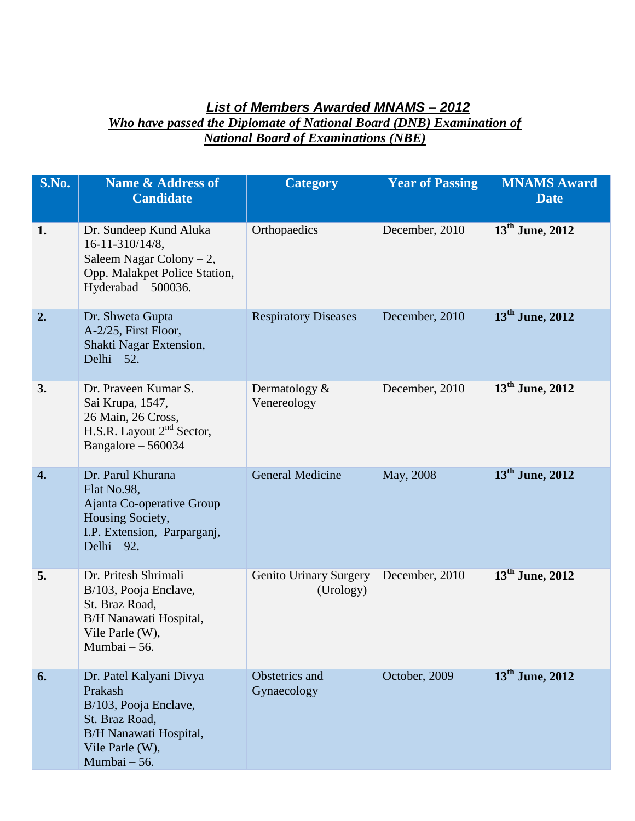## *List of Members Awarded MNAMS – 2012 Who have passed the Diplomate of National Board (DNB) Examination of National Board of Examinations (NBE)*

| S.No. | <b>Name &amp; Address of</b><br><b>Candidate</b>                                                                                           | <b>Category</b>                            | <b>Year of Passing</b> | <b>MNAMS Award</b><br><b>Date</b> |
|-------|--------------------------------------------------------------------------------------------------------------------------------------------|--------------------------------------------|------------------------|-----------------------------------|
| 1.    | Dr. Sundeep Kund Aluka<br>16-11-310/14/8,<br>Saleem Nagar Colony $-2$ ,<br>Opp. Malakpet Police Station,<br>Hyderabad $-500036$ .          | Orthopaedics                               | December, 2010         | $13^{\text{th}}$ June, 2012       |
| 2.    | Dr. Shweta Gupta<br>A-2/25, First Floor,<br>Shakti Nagar Extension,<br>Delhi $-52$ .                                                       | <b>Respiratory Diseases</b>                | December, 2010         | $13^{\text{th}}$ June, 2012       |
| 3.    | Dr. Praveen Kumar S.<br>Sai Krupa, 1547,<br>26 Main, 26 Cross,<br>H.S.R. Layout 2 <sup>nd</sup> Sector,<br>Bangalore $-560034$             | Dermatology $&$<br>Venereology             | December, 2010         | $13th$ June, 2012                 |
| 4.    | Dr. Parul Khurana<br>Flat No.98,<br>Ajanta Co-operative Group<br>Housing Society,<br>I.P. Extension, Parparganj,<br>Delhi $-92$ .          | <b>General Medicine</b>                    | May, 2008              | $13th$ June, 2012                 |
| 5.    | Dr. Pritesh Shrimali<br>B/103, Pooja Enclave,<br>St. Braz Road,<br>B/H Nanawati Hospital,<br>Vile Parle (W),<br>Mumbai - 56.               | <b>Genito Urinary Surgery</b><br>(Urology) | December, 2010         | 13 <sup>th</sup> June, 2012       |
| 6.    | Dr. Patel Kalyani Divya<br>Prakash<br>B/103, Pooja Enclave,<br>St. Braz Road,<br>B/H Nanawati Hospital,<br>Vile Parle (W),<br>Mumbai - 56. | Obstetrics and<br>Gynaecology              | October, 2009          | $13th$ June, 2012                 |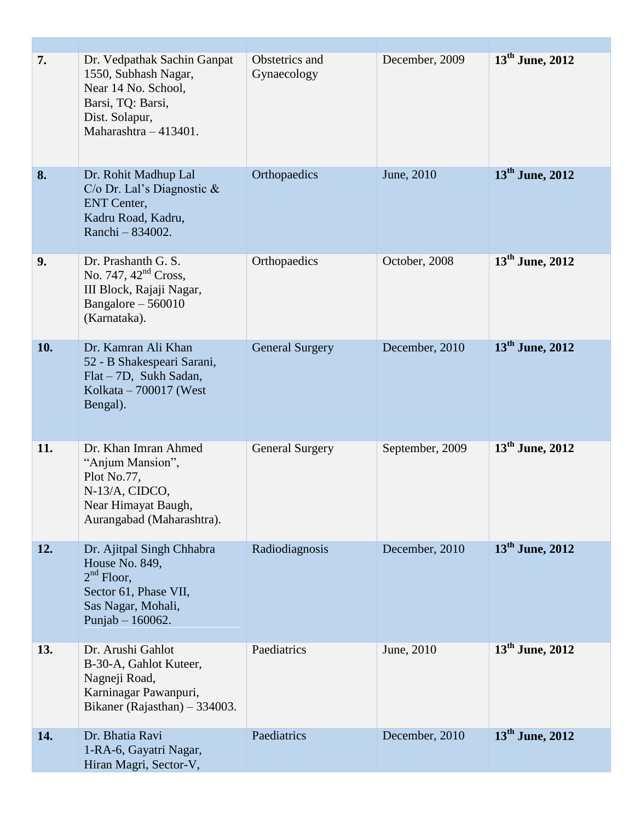| 7.  | Dr. Vedpathak Sachin Ganpat<br>1550, Subhash Nagar,<br>Near 14 No. School,<br>Barsi, TQ: Barsi,<br>Dist. Solapur,<br>Maharashtra - 413401. | Obstetrics and<br>Gynaecology | December, 2009  | 13 <sup>th</sup> June, 2012 |
|-----|--------------------------------------------------------------------------------------------------------------------------------------------|-------------------------------|-----------------|-----------------------------|
| 8.  | Dr. Rohit Madhup Lal<br>C/o Dr. Lal's Diagnostic $\&$<br><b>ENT</b> Center,<br>Kadru Road, Kadru,<br>Ranchi - 834002.                      | Orthopaedics                  | June, 2010      | $13th$ June, 2012           |
| 9.  | Dr. Prashanth G. S.<br>No. 747, $42nd Cross$ ,<br>III Block, Rajaji Nagar,<br>Bangalore $-560010$<br>(Karnataka).                          | Orthopaedics                  | October, 2008   | $13^{\text{th}}$ June, 2012 |
| 10. | Dr. Kamran Ali Khan<br>52 - B Shakespeari Sarani,<br>Flat – 7D, Sukh Sadan,<br>Kolkata $-700017$ (West<br>Bengal).                         | <b>General Surgery</b>        | December, 2010  | 13 <sup>th</sup> June, 2012 |
| 11. | Dr. Khan Imran Ahmed<br>"Anjum Mansion",<br>Plot No.77,<br>N-13/A, CIDCO,<br>Near Himayat Baugh,<br>Aurangabad (Maharashtra).              | <b>General Surgery</b>        | September, 2009 | $13th$ June, 2012           |
| 12. | Dr. Ajitpal Singh Chhabra<br>House No. 849,<br>$2nd$ Floor,<br>Sector 61, Phase VII,<br>Sas Nagar, Mohali,<br>Punjab $- 160062$ .          | Radiodiagnosis                | December, 2010  | $13th$ June, 2012           |
| 13. | Dr. Arushi Gahlot<br>B-30-A, Gahlot Kuteer,<br>Nagneji Road,<br>Karninagar Pawanpuri,<br>Bikaner (Rajasthan) – 334003.                     | Paediatrics                   | June, 2010      | $13^{\text{th}}$ June, 2012 |
| 14. | Dr. Bhatia Ravi<br>1-RA-6, Gayatri Nagar,<br>Hiran Magri, Sector-V,                                                                        | Paediatrics                   | December, 2010  | $13^{\text{th}}$ June, 2012 |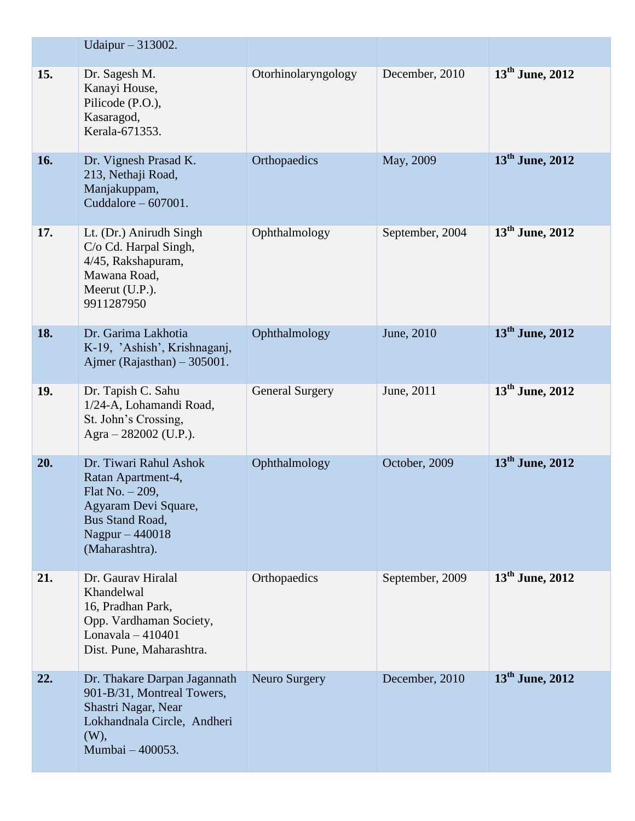|     | Udaipur - 313002.                                                                                                                                        |                        |                 |                             |
|-----|----------------------------------------------------------------------------------------------------------------------------------------------------------|------------------------|-----------------|-----------------------------|
| 15. | Dr. Sagesh M.<br>Kanayi House,<br>Pilicode (P.O.),<br>Kasaragod,<br>Kerala-671353.                                                                       | Otorhinolaryngology    | December, 2010  | 13 <sup>th</sup> June, 2012 |
| 16. | Dr. Vignesh Prasad K.<br>213, Nethaji Road,<br>Manjakuppam,<br>Cuddalore $-607001$ .                                                                     | Orthopaedics           | May, 2009       | $13th$ June, 2012           |
| 17. | Lt. (Dr.) Anirudh Singh<br>C/o Cd. Harpal Singh,<br>4/45, Rakshapuram,<br>Mawana Road,<br>Meerut (U.P.).<br>9911287950                                   | Ophthalmology          | September, 2004 | $13^{\text{th}}$ June, 2012 |
| 18. | Dr. Garima Lakhotia<br>K-19, 'Ashish', Krishnaganj,<br>Ajmer (Rajasthan) $-305001$ .                                                                     | Ophthalmology          | June, 2010      | $13th$ June, 2012           |
| 19. | Dr. Tapish C. Sahu<br>1/24-A, Lohamandi Road,<br>St. John's Crossing,<br>Agra - 282002 (U.P.).                                                           | <b>General Surgery</b> | June, 2011      | $13^{\text{th}}$ June, 2012 |
| 20. | Dr. Tiwari Rahul Ashok<br>Ratan Apartment-4,<br>Flat No. $-209$ ,<br>Agyaram Devi Square,<br><b>Bus Stand Road,</b><br>Nagpur - 440018<br>(Maharashtra). | Ophthalmology          | October, 2009   | 13 <sup>th</sup> June, 2012 |
| 21. | Dr. Gaurav Hiralal<br>Khandelwal<br>16, Pradhan Park,<br>Opp. Vardhaman Society,<br>Lonavala $-410401$<br>Dist. Pune, Maharashtra.                       | Orthopaedics           | September, 2009 | 13 <sup>th</sup> June, 2012 |
| 22. | Dr. Thakare Darpan Jagannath<br>901-B/31, Montreal Towers,<br>Shastri Nagar, Near<br>Lokhandnala Circle, Andheri<br>(W),<br>Mumbai - 400053.             | Neuro Surgery          | December, 2010  | $13th$ June, 2012           |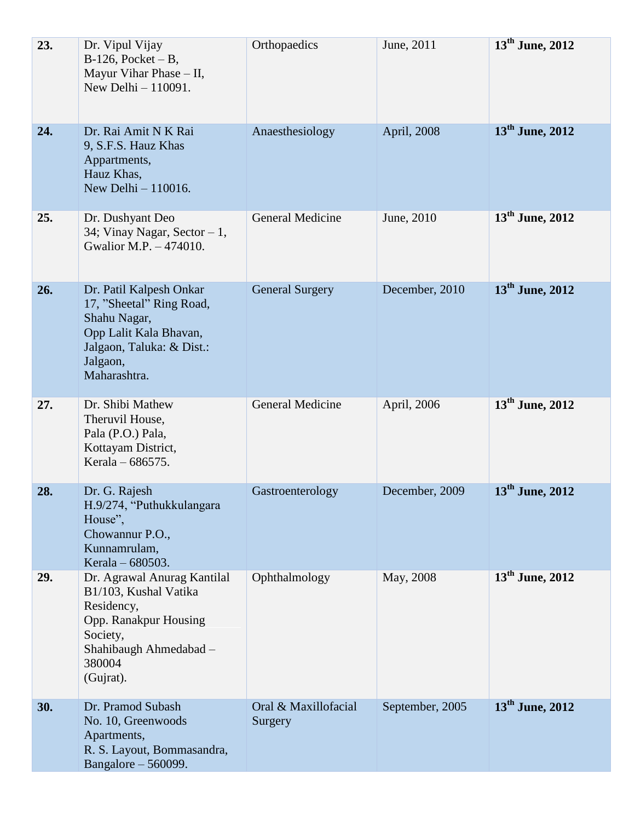| 23. | Dr. Vipul Vijay<br>$B-126$ , Pocket – B,<br>Mayur Vihar Phase - II,<br>New Delhi $-110091$ .                                                             | Orthopaedics                    | June, 2011      | $13^{\text{th}}$ June, 2012 |
|-----|----------------------------------------------------------------------------------------------------------------------------------------------------------|---------------------------------|-----------------|-----------------------------|
| 24. | Dr. Rai Amit N K Rai<br>9, S.F.S. Hauz Khas<br>Appartments,<br>Hauz Khas,<br>New Delhi - 110016.                                                         | Anaesthesiology                 | April, 2008     | $13th$ June, 2012           |
| 25. | Dr. Dushyant Deo<br>34; Vinay Nagar, Sector - 1,<br>Gwalior M.P. - 474010.                                                                               | <b>General Medicine</b>         | June, 2010      | $13^{\text{th}}$ June, 2012 |
| 26. | Dr. Patil Kalpesh Onkar<br>17, "Sheetal" Ring Road,<br>Shahu Nagar,<br>Opp Lalit Kala Bhavan,<br>Jalgaon, Taluka: & Dist.:<br>Jalgaon,<br>Maharashtra.   | <b>General Surgery</b>          | December, 2010  | $13th$ June, 2012           |
| 27. | Dr. Shibi Mathew<br>Theruvil House,<br>Pala (P.O.) Pala,<br>Kottayam District,<br>Kerala – 686575.                                                       | General Medicine                | April, 2006     | 13 <sup>th</sup> June, 2012 |
| 28. | Dr. G. Rajesh<br>H.9/274, "Puthukkulangara<br>House",<br>Chowannur P.O.,<br>Kunnamrulam,<br>Kerala - 680503.                                             | Gastroenterology                | December, 2009  | $13th$ June, 2012           |
| 29. | Dr. Agrawal Anurag Kantilal<br>B1/103, Kushal Vatika<br>Residency,<br>Opp. Ranakpur Housing<br>Society,<br>Shahibaugh Ahmedabad -<br>380004<br>(Gujrat). | Ophthalmology                   | May, 2008       | $13^{\text{th}}$ June, 2012 |
| 30. | Dr. Pramod Subash<br>No. 10, Greenwoods<br>Apartments,<br>R. S. Layout, Bommasandra,<br>Bangalore - 560099.                                              | Oral & Maxillofacial<br>Surgery | September, 2005 | 13 <sup>th</sup> June, 2012 |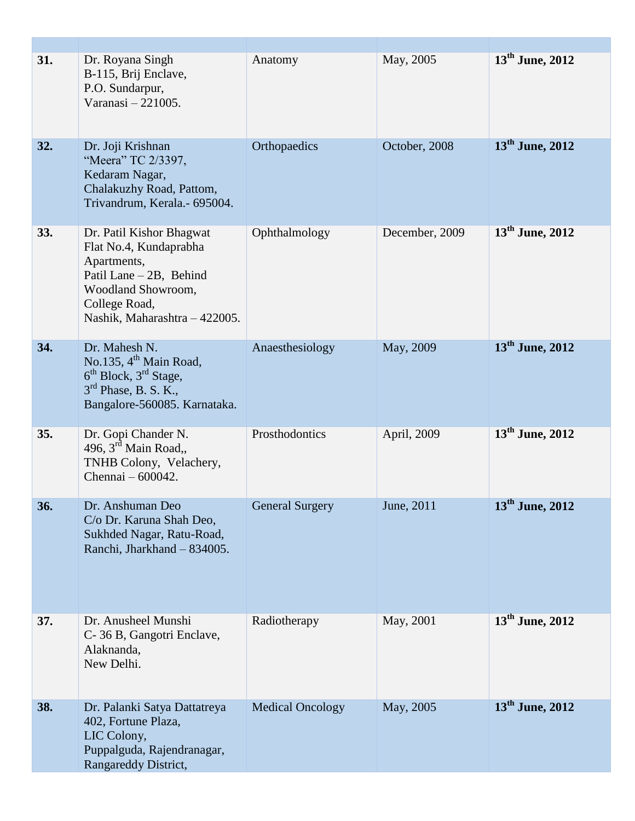| 31. | Dr. Royana Singh<br>B-115, Brij Enclave,<br>P.O. Sundarpur,<br>Varanasi - 221005.                                                                                    | Anatomy                 | May, 2005      | 13 <sup>th</sup> June, 2012 |
|-----|----------------------------------------------------------------------------------------------------------------------------------------------------------------------|-------------------------|----------------|-----------------------------|
| 32. | Dr. Joji Krishnan<br>"Meera" TC 2/3397,<br>Kedaram Nagar,<br>Chalakuzhy Road, Pattom,<br>Trivandrum, Kerala.- 695004.                                                | Orthopaedics            | October, 2008  | $13th$ June, 2012           |
| 33. | Dr. Patil Kishor Bhagwat<br>Flat No.4, Kundaprabha<br>Apartments,<br>Patil Lane - 2B, Behind<br>Woodland Showroom,<br>College Road,<br>Nashik, Maharashtra - 422005. | Ophthalmology           | December, 2009 | $13^{\text{th}}$ June, 2012 |
| 34. | Dr. Mahesh N.<br>No.135, 4 <sup>th</sup> Main Road,<br>$6th Block, 3rd Stage,$<br>$3rd$ Phase, B. S. K.,<br>Bangalore-560085. Karnataka.                             | Anaesthesiology         | May, 2009      | $13th$ June, 2012           |
| 35. | Dr. Gopi Chander N.<br>496, $3^{\text{rd}}$ Main Road,,<br>TNHB Colony, Velachery,<br>Chennai - 600042.                                                              | Prosthodontics          | April, 2009    | $13th$ June, 2012           |
| 36. | Dr. Anshuman Deo<br>C/o Dr. Karuna Shah Deo,<br>Sukhded Nagar, Ratu-Road,<br>Ranchi, Jharkhand - 834005.                                                             | <b>General Surgery</b>  | June, 2011     | 13 <sup>th</sup> June, 2012 |
| 37. | Dr. Anusheel Munshi<br>C-36 B, Gangotri Enclave,<br>Alaknanda,<br>New Delhi.                                                                                         | Radiotherapy            | May, 2001      | $13^{\text{th}}$ June, 2012 |
| 38. | Dr. Palanki Satya Dattatreya<br>402, Fortune Plaza,<br>LIC Colony,<br>Puppalguda, Rajendranagar,<br>Rangareddy District,                                             | <b>Medical Oncology</b> | May, 2005      | $13th$ June, 2012           |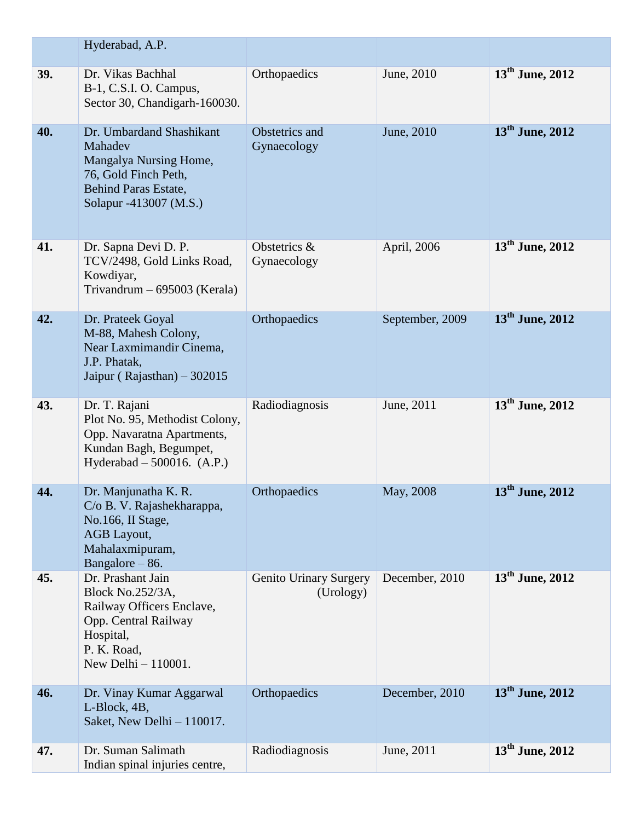|     | Hyderabad, A.P.                                                                                                                                 |                                     |                 |                             |
|-----|-------------------------------------------------------------------------------------------------------------------------------------------------|-------------------------------------|-----------------|-----------------------------|
| 39. | Dr. Vikas Bachhal<br>B-1, C.S.I. O. Campus,<br>Sector 30, Chandigarh-160030.                                                                    | Orthopaedics                        | June, 2010      | $13^{\text{th}}$ June, 2012 |
| 40. | Dr. Umbardand Shashikant<br>Mahadev<br>Mangalya Nursing Home,<br>76, Gold Finch Peth,<br><b>Behind Paras Estate,</b><br>Solapur -413007 (M.S.)  | Obstetrics and<br>Gynaecology       | June, 2010      | $13th$ June, 2012           |
| 41. | Dr. Sapna Devi D. P.<br>TCV/2498, Gold Links Road,<br>Kowdiyar,<br>Trivandrum $-695003$ (Kerala)                                                | Obstetrics &<br>Gynaecology         | April, 2006     | $13^{\text{th}}$ June, 2012 |
| 42. | Dr. Prateek Goyal<br>M-88, Mahesh Colony,<br>Near Laxmimandir Cinema,<br>J.P. Phatak,<br>Jaipur (Rajasthan) $-302015$                           | Orthopaedics                        | September, 2009 | $13th$ June, 2012           |
| 43. | Dr. T. Rajani<br>Plot No. 95, Methodist Colony,<br>Opp. Navaratna Apartments,<br>Kundan Bagh, Begumpet,<br>Hyderabad $-500016.$ (A.P.)          | Radiodiagnosis                      | June, 2011      | $13^{\text{th}}$ June, 2012 |
| 44. | Dr. Manjunatha K. R.<br>C/o B. V. Rajashekharappa,<br>No.166, II Stage,<br>AGB Layout,<br>Mahalaxmipuram,<br>Bangalore - 86.                    | Orthopaedics                        | May, 2008       | $13th$ June, 2012           |
| 45. | Dr. Prashant Jain<br>Block No.252/3A,<br>Railway Officers Enclave,<br>Opp. Central Railway<br>Hospital,<br>P. K. Road,<br>New Delhi $-110001$ . | Genito Urinary Surgery<br>(Urology) | December, 2010  | 13 <sup>th</sup> June, 2012 |
| 46. | Dr. Vinay Kumar Aggarwal<br>L-Block, 4B,<br>Saket, New Delhi - 110017.                                                                          | Orthopaedics                        | December, 2010  | $13th$ June, 2012           |
| 47. | Dr. Suman Salimath<br>Indian spinal injuries centre,                                                                                            | Radiodiagnosis                      | June, 2011      | 13 <sup>th</sup> June, 2012 |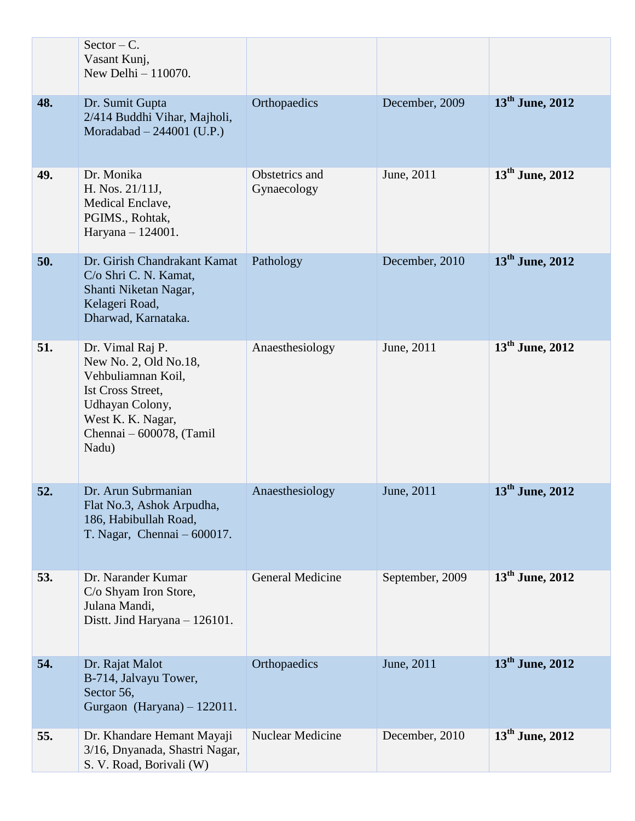|     | $Sector - C$ .<br>Vasant Kunj,<br>New Delhi $-110070$ .                                                                                                                  |                               |                 |                   |
|-----|--------------------------------------------------------------------------------------------------------------------------------------------------------------------------|-------------------------------|-----------------|-------------------|
| 48. | Dr. Sumit Gupta<br>2/414 Buddhi Vihar, Majholi,<br>Moradabad $-244001$ (U.P.)                                                                                            | Orthopaedics                  | December, 2009  | $13th$ June, 2012 |
| 49. | Dr. Monika<br>H. Nos. 21/11J,<br>Medical Enclave,<br>PGIMS., Rohtak,<br>Haryana - 124001.                                                                                | Obstetrics and<br>Gynaecology | June, 2011      | $13th$ June, 2012 |
| 50. | Dr. Girish Chandrakant Kamat<br>C/o Shri C. N. Kamat,<br>Shanti Niketan Nagar,<br>Kelageri Road,<br>Dharwad, Karnataka.                                                  | Pathology                     | December, 2010  | $13th$ June, 2012 |
| 51. | Dr. Vimal Raj P.<br>New No. 2, Old No.18,<br>Vehbuliamnan Koil,<br><b>Ist Cross Street,</b><br>Udhayan Colony,<br>West K. K. Nagar,<br>Chennai - 600078, (Tamil<br>Nadu) | Anaesthesiology               | June, 2011      | $13th$ June, 2012 |
| 52. | Dr. Arun Subrmanian<br>Flat No.3, Ashok Arpudha,<br>186, Habibullah Road,<br>T. Nagar, Chennai $-600017$ .                                                               | Anaesthesiology               | June, 2011      | $13th$ June, 2012 |
| 53. | Dr. Narander Kumar<br>C/o Shyam Iron Store,<br>Julana Mandi,<br>Distt. Jind Haryana - 126101.                                                                            | <b>General Medicine</b>       | September, 2009 | $13th$ June, 2012 |
| 54. | Dr. Rajat Malot<br>B-714, Jalvayu Tower,<br>Sector 56,<br>Gurgaon (Haryana) - 122011.                                                                                    | Orthopaedics                  | June, 2011      | $13th$ June, 2012 |
| 55. | Dr. Khandare Hemant Mayaji<br>3/16, Dnyanada, Shastri Nagar,<br>S. V. Road, Borivali (W)                                                                                 | <b>Nuclear Medicine</b>       | December, 2010  | $13th$ June, 2012 |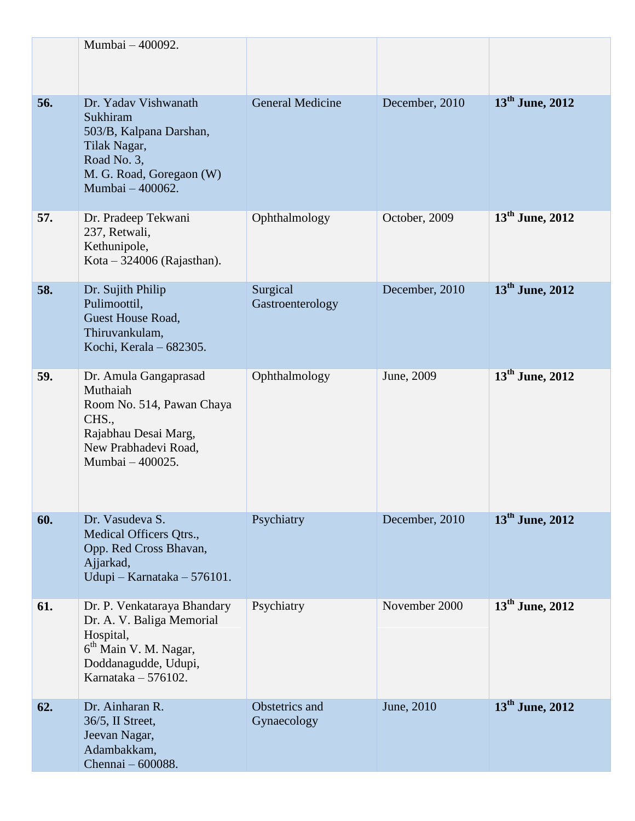|     | Mumbai - 400092.                                                                                                                                            |                               |                |                             |
|-----|-------------------------------------------------------------------------------------------------------------------------------------------------------------|-------------------------------|----------------|-----------------------------|
| 56. | Dr. Yaday Vishwanath<br>Sukhiram<br>503/B, Kalpana Darshan,<br>Tilak Nagar,<br>Road No. 3,<br>M. G. Road, Goregaon (W)<br>Mumbai - 400062.                  | <b>General Medicine</b>       | December, 2010 | 13 <sup>th</sup> June, 2012 |
| 57. | Dr. Pradeep Tekwani<br>237, Retwali,<br>Kethunipole,<br>Kota – 324006 (Rajasthan).                                                                          | Ophthalmology                 | October, 2009  | $13^{\text{th}}$ June, 2012 |
| 58. | Dr. Sujith Philip<br>Pulimoottil,<br>Guest House Road,<br>Thiruvankulam,<br>Kochi, Kerala – 682305.                                                         | Surgical<br>Gastroenterology  | December, 2010 | $13th$ June, 2012           |
| 59. | Dr. Amula Gangaprasad<br>Muthaiah<br>Room No. 514, Pawan Chaya<br>CHS.,<br>Rajabhau Desai Marg,<br>New Prabhadevi Road,<br>Mumbai - 400025.                 | Ophthalmology                 | June, 2009     | $13^{\text{th}}$ June, 2012 |
| 60. | Dr. Vasudeva S.<br>Medical Officers Qtrs.,<br>Opp. Red Cross Bhavan,<br>Ajjarkad,<br>Udupi - Karnataka - 576101.                                            | Psychiatry                    | December, 2010 | 13 <sup>th</sup> June, 2012 |
| 61. | Dr. P. Venkataraya Bhandary<br>Dr. A. V. Baliga Memorial<br>Hospital,<br>6 <sup>th</sup> Main V. M. Nagar,<br>Doddanagudde, Udupi,<br>Karnataka $-576102$ . | Psychiatry                    | November 2000  | 13 <sup>th</sup> June, 2012 |
| 62. | Dr. Ainharan R.<br>36/5, II Street,<br>Jeevan Nagar,<br>Adambakkam,<br>Chennai - 600088.                                                                    | Obstetrics and<br>Gynaecology | June, 2010     | $13th$ June, 2012           |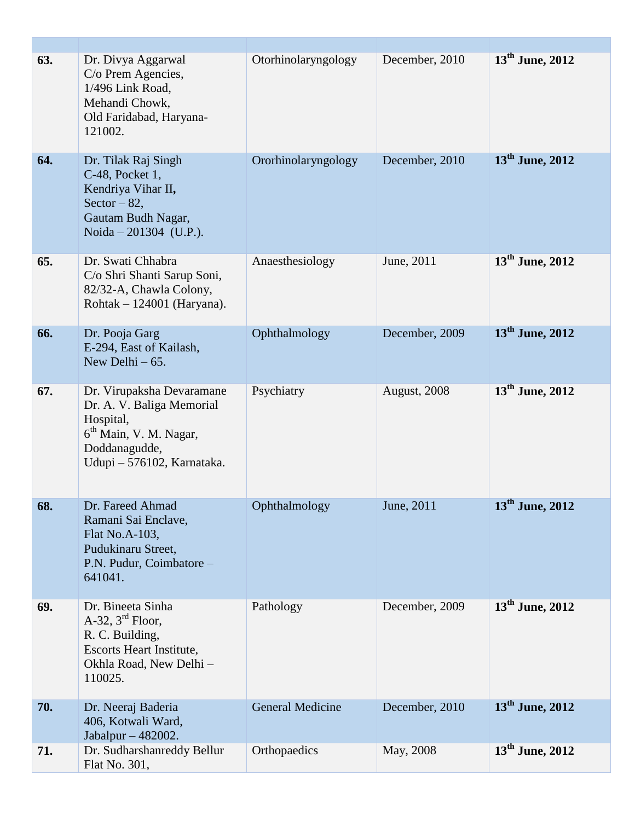| 63. | Dr. Divya Aggarwal<br>C/o Prem Agencies,<br>1/496 Link Road,<br>Mehandi Chowk,<br>Old Faridabad, Haryana-<br>121002.                                     | Otorhinolaryngology     | December, 2010 | $13^{\text{th}}$ June, 2012 |
|-----|----------------------------------------------------------------------------------------------------------------------------------------------------------|-------------------------|----------------|-----------------------------|
| 64. | Dr. Tilak Raj Singh<br>C-48, Pocket 1,<br>Kendriya Vihar II,<br>Sector $-82$ ,<br>Gautam Budh Nagar,<br>Noida - 201304 (U.P.).                           | Ororhinolaryngology     | December, 2010 | $13th$ June, 2012           |
| 65. | Dr. Swati Chhabra<br>C/o Shri Shanti Sarup Soni,<br>82/32-A, Chawla Colony,<br>Rohtak $-124001$ (Haryana).                                               | Anaesthesiology         | June, 2011     | $13^{\text{th}}$ June, 2012 |
| 66. | Dr. Pooja Garg<br>E-294, East of Kailash,<br>New Delhi $-65$ .                                                                                           | Ophthalmology           | December, 2009 | $13th$ June, 2012           |
| 67. | Dr. Virupaksha Devaramane<br>Dr. A. V. Baliga Memorial<br>Hospital,<br>6 <sup>th</sup> Main, V. M. Nagar,<br>Doddanagudde,<br>Udupi - 576102, Karnataka. | Psychiatry              | August, 2008   | $13th$ June, 2012           |
| 68. | Dr. Fareed Ahmad<br>Ramani Sai Enclave,<br>Flat No.A-103,<br>Pudukinaru Street,<br>P.N. Pudur, Coimbatore -<br>641041.                                   | Ophthalmology           | June, 2011     | $13th$ June, 2012           |
| 69. | Dr. Bineeta Sinha<br>A-32, $3^{\text{rd}}$ Floor,<br>R. C. Building,<br>Escorts Heart Institute,<br>Okhla Road, New Delhi -<br>110025.                   | Pathology               | December, 2009 | $13^{\text{th}}$ June, 2012 |
| 70. | Dr. Neeraj Baderia<br>406, Kotwali Ward,<br>Jabalpur - 482002.                                                                                           | <b>General Medicine</b> | December, 2010 | 13 <sup>th</sup> June, 2012 |
| 71. | Dr. Sudharshanreddy Bellur<br>Flat No. 301,                                                                                                              | Orthopaedics            | May, 2008      | $13th$ June, 2012           |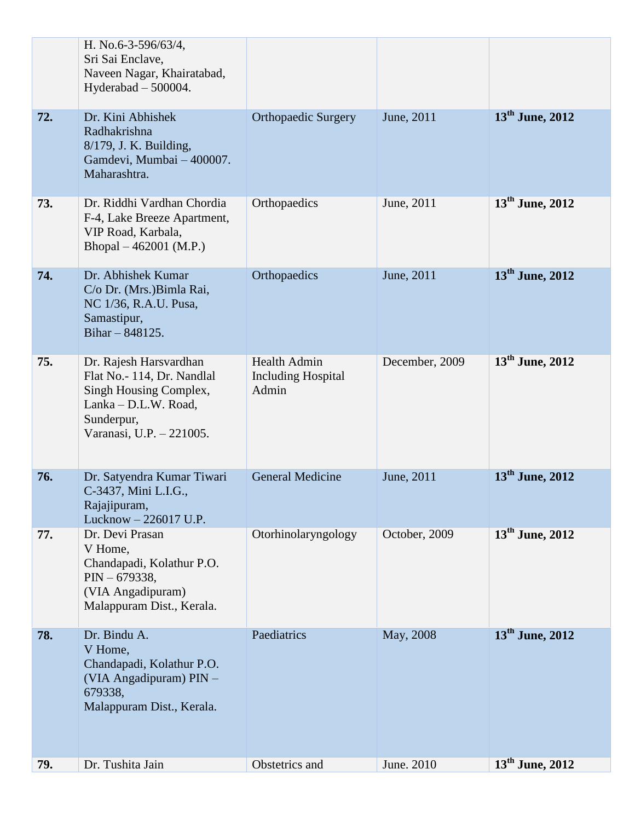|     | H. No.6-3-596/63/4,<br>Sri Sai Enclave,<br>Naveen Nagar, Khairatabad,<br>Hyderabad - 500004.                                                     |                                                           |                |                             |
|-----|--------------------------------------------------------------------------------------------------------------------------------------------------|-----------------------------------------------------------|----------------|-----------------------------|
| 72. | Dr. Kini Abhishek<br>Radhakrishna<br>8/179, J. K. Building,<br>Gamdevi, Mumbai - 400007.<br>Maharashtra.                                         | <b>Orthopaedic Surgery</b>                                | June, 2011     | $13th$ June, 2012           |
| 73. | Dr. Riddhi Vardhan Chordia<br>F-4, Lake Breeze Apartment,<br>VIP Road, Karbala,<br>Bhopal $-462001$ (M.P.)                                       | Orthopaedics                                              | June, 2011     | $13^{\text{th}}$ June, 2012 |
| 74. | Dr. Abhishek Kumar<br>C/o Dr. (Mrs.) Bimla Rai,<br>NC 1/36, R.A.U. Pusa,<br>Samastipur,<br>Bihar $- 848125$ .                                    | Orthopaedics                                              | June, 2011     | $13^{\text{th}}$ June, 2012 |
| 75. | Dr. Rajesh Harsvardhan<br>Flat No.- 114, Dr. Nandlal<br>Singh Housing Complex,<br>Lanka - D.L.W. Road,<br>Sunderpur,<br>Varanasi, U.P. - 221005. | <b>Health Admin</b><br><b>Including Hospital</b><br>Admin | December, 2009 | $13^{\text{th}}$ June, 2012 |
| 76. | Dr. Satyendra Kumar Tiwari<br>C-3437, Mini L.I.G.,<br>Rajajipuram,<br>Lucknow - 226017 U.P.                                                      | <b>General Medicine</b>                                   | June, 2011     | $13th$ June, 2012           |
| 77. | Dr. Devi Prasan<br>V Home,<br>Chandapadi, Kolathur P.O.<br>$PIN - 679338,$<br>(VIA Angadipuram)<br>Malappuram Dist., Kerala.                     | Otorhinolaryngology                                       | October, 2009  | 13 <sup>th</sup> June, 2012 |
| 78. | Dr. Bindu A.<br>V Home,<br>Chandapadi, Kolathur P.O.<br>(VIA Angadipuram) PIN -<br>679338,<br>Malappuram Dist., Kerala.                          | Paediatrics                                               | May, 2008      | $13th$ June, 2012           |
| 79. | Dr. Tushita Jain                                                                                                                                 | Obstetrics and                                            | June. 2010     | $13^{\text{th}}$ June, 2012 |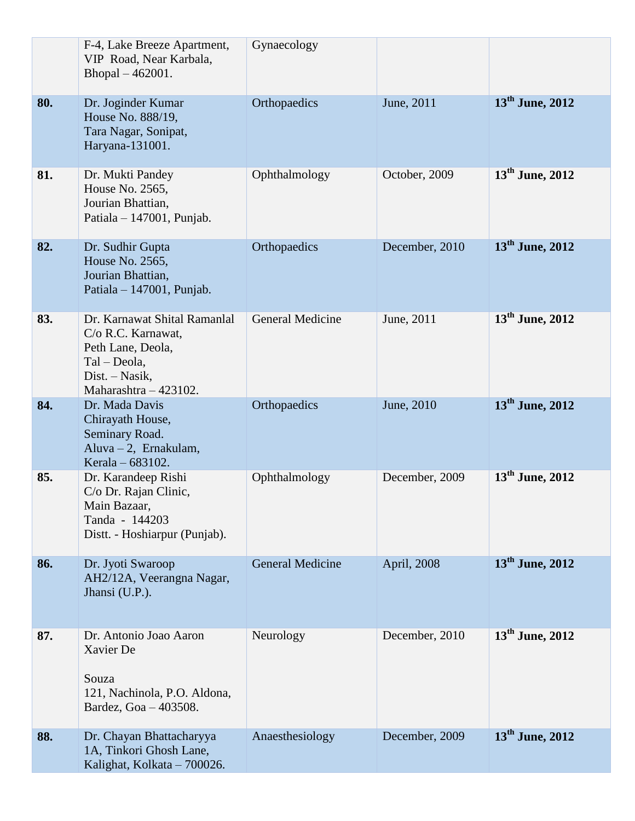|     | F-4, Lake Breeze Apartment,<br>VIP Road, Near Karbala,<br>Bhopal - 462001.                                                           | Gynaecology             |                |                             |
|-----|--------------------------------------------------------------------------------------------------------------------------------------|-------------------------|----------------|-----------------------------|
| 80. | Dr. Joginder Kumar<br>House No. 888/19,<br>Tara Nagar, Sonipat,<br>Haryana-131001.                                                   | Orthopaedics            | June, 2011     | $13th$ June, 2012           |
| 81. | Dr. Mukti Pandey<br>House No. 2565,<br>Jourian Bhattian,<br>Patiala $-147001$ , Punjab.                                              | Ophthalmology           | October, 2009  | $13th$ June, 2012           |
| 82. | Dr. Sudhir Gupta<br>House No. 2565,<br>Jourian Bhattian,<br>Patiala $-147001$ , Punjab.                                              | Orthopaedics            | December, 2010 | $13^{\text{th}}$ June, 2012 |
| 83. | Dr. Karnawat Shital Ramanlal<br>C/o R.C. Karnawat,<br>Peth Lane, Deola,<br>Tal – Deola,<br>Dist. – Nasik,<br>Maharashtra $-423102$ . | <b>General Medicine</b> | June, 2011     | 13 <sup>th</sup> June, 2012 |
| 84. | Dr. Mada Davis<br>Chirayath House,<br>Seminary Road.<br>Aluva $-2$ , Ernakulam,<br>Kerala – 683102.                                  | Orthopaedics            | June, 2010     | $13th$ June, 2012           |
| 85. | Dr. Karandeep Rishi<br>C/o Dr. Rajan Clinic,<br>Main Bazaar,<br>Tanda - 144203<br>Distt. - Hoshiarpur (Punjab).                      | Ophthalmology           | December, 2009 | $13th$ June, 2012           |
| 86. | Dr. Jyoti Swaroop<br>AH2/12A, Veerangna Nagar,<br>Jhansi (U.P.).                                                                     | <b>General Medicine</b> | April, 2008    | $13^{\text{th}}$ June, 2012 |
| 87. | Dr. Antonio Joao Aaron<br>Xavier De<br>Souza<br>121, Nachinola, P.O. Aldona,<br>Bardez, Goa - 403508.                                | Neurology               | December, 2010 | $13^{th}$ June, 2012        |
| 88. | Dr. Chayan Bhattacharyya<br>1A, Tinkori Ghosh Lane,<br>Kalighat, Kolkata - 700026.                                                   | Anaesthesiology         | December, 2009 | $13th$ June, 2012           |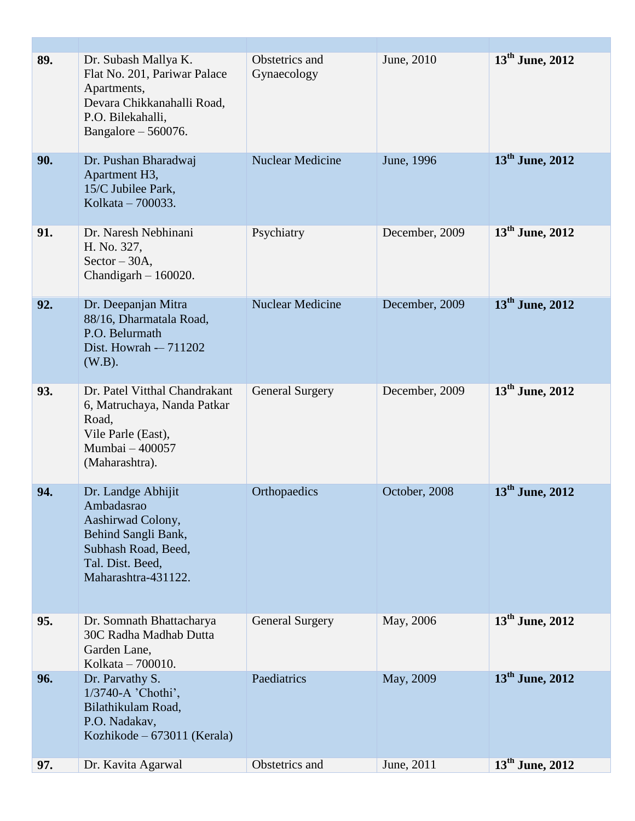| 89. | Dr. Subash Mallya K.<br>Flat No. 201, Pariwar Palace<br>Apartments,<br>Devara Chikkanahalli Road,<br>P.O. Bilekahalli,<br>Bangalore $-560076$ . | Obstetrics and<br>Gynaecology | June, 2010     | $13th$ June, 2012           |
|-----|-------------------------------------------------------------------------------------------------------------------------------------------------|-------------------------------|----------------|-----------------------------|
| 90. | Dr. Pushan Bharadwaj<br>Apartment H3,<br>15/C Jubilee Park,<br>Kolkata - 700033.                                                                | <b>Nuclear Medicine</b>       | June, 1996     | $13^{\text{th}}$ June, 2012 |
| 91. | Dr. Naresh Nebhinani<br>H. No. 327,<br>$Sector - 30A$ ,<br>Chandigarh $-160020$ .                                                               | Psychiatry                    | December, 2009 | $13th$ June, 2012           |
| 92. | Dr. Deepanjan Mitra<br>88/16, Dharmatala Road,<br>P.O. Belurmath<br>Dist. Howrah - 711202<br>$(W.B)$ .                                          | <b>Nuclear Medicine</b>       | December, 2009 | $13^{\text{th}}$ June, 2012 |
| 93. | Dr. Patel Vitthal Chandrakant<br>6, Matruchaya, Nanda Patkar<br>Road,<br>Vile Parle (East),<br>Mumbai - 400057<br>(Maharashtra).                | <b>General Surgery</b>        | December, 2009 | $13^{\text{th}}$ June, 2012 |
| 94. | Dr. Landge Abhijit<br>Ambadasrao<br>Aashirwad Colony,<br>Behind Sangli Bank,<br>Subhash Road, Beed,<br>Tal. Dist. Beed,<br>Maharashtra-431122.  | Orthopaedics                  | October, 2008  | $13th$ June, 2012           |
| 95. | Dr. Somnath Bhattacharya<br>30C Radha Madhab Dutta<br>Garden Lane,<br>Kolkata - 700010.                                                         | <b>General Surgery</b>        | May, 2006      | 13 <sup>th</sup> June, 2012 |
| 96. | Dr. Parvathy S.<br>1/3740-A 'Chothi',<br>Bilathikulam Road,<br>P.O. Nadakav,<br>Kozhikode – 673011 (Kerala)                                     | Paediatrics                   | May, 2009      | $13th$ June, 2012           |
| 97. | Dr. Kavita Agarwal                                                                                                                              | Obstetrics and                | June, 2011     | $13th$ June, 2012           |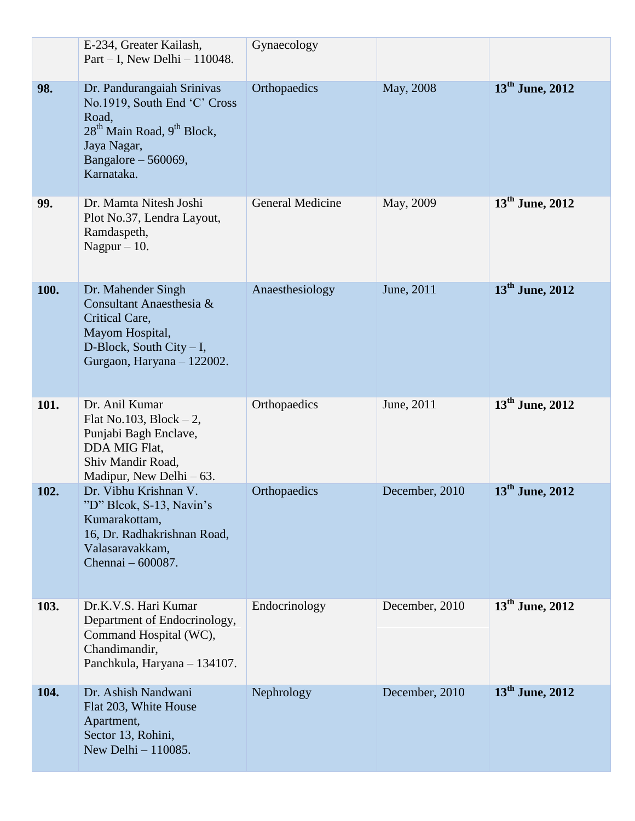|      | E-234, Greater Kailash,<br>Part $-$ I, New Delhi $-$ 110048.                                                                                                                  | Gynaecology             |                |                             |
|------|-------------------------------------------------------------------------------------------------------------------------------------------------------------------------------|-------------------------|----------------|-----------------------------|
| 98.  | Dr. Pandurangaiah Srinivas<br>No.1919, South End 'C' Cross<br>Road,<br>28 <sup>th</sup> Main Road, 9 <sup>th</sup> Block,<br>Jaya Nagar,<br>Bangalore - 560069,<br>Karnataka. | Orthopaedics            | May, 2008      | 13 <sup>th</sup> June, 2012 |
| 99.  | Dr. Mamta Nitesh Joshi<br>Plot No.37, Lendra Layout,<br>Ramdaspeth,<br>Nagpur $-10$ .                                                                                         | <b>General Medicine</b> | May, 2009      | $13^{th}$ June, 2012        |
| 100. | Dr. Mahender Singh<br>Consultant Anaesthesia &<br>Critical Care,<br>Mayom Hospital,<br>D-Block, South City $- I$ ,<br>Gurgaon, Haryana - 122002.                              | Anaesthesiology         | June, 2011     | $13^{\text{th}}$ June, 2012 |
| 101. | Dr. Anil Kumar<br>Flat No.103, Block $-2$ ,<br>Punjabi Bagh Enclave,<br>DDA MIG Flat,<br>Shiv Mandir Road,<br>Madipur, New Delhi $-63$ .                                      | Orthopaedics            | June, 2011     | $13th$ June, 2012           |
| 102. | Dr. Vibhu Krishnan V.<br>"D" Blcok, S-13, Navin's<br>Kumarakottam,<br>16, Dr. Radhakrishnan Road,<br>Valasaravakkam,<br>Chennai - 600087.                                     | Orthopaedics            | December, 2010 | $13th$ June, 2012           |
| 103. | Dr.K.V.S. Hari Kumar<br>Department of Endocrinology,<br>Command Hospital (WC),<br>Chandimandir,<br>Panchkula, Haryana - 134107.                                               | Endocrinology           | December, 2010 | 13 <sup>th</sup> June, 2012 |
| 104. | Dr. Ashish Nandwani<br>Flat 203, White House<br>Apartment,<br>Sector 13, Rohini,<br>New Delhi $-110085$ .                                                                     | Nephrology              | December, 2010 | $13th$ June, 2012           |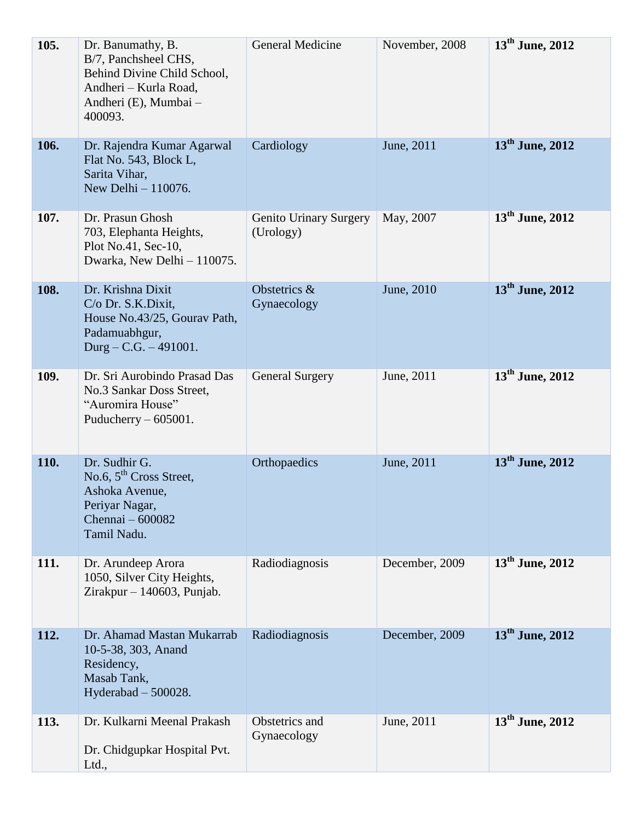| 105. | Dr. Banumathy, B.<br>B/7, Panchsheel CHS,<br>Behind Divine Child School,<br>Andheri - Kurla Road,<br>Andheri (E), Mumbai -<br>400093. | General Medicine                           | November, 2008 | $13^{\text{th}}$ June, 2012 |
|------|---------------------------------------------------------------------------------------------------------------------------------------|--------------------------------------------|----------------|-----------------------------|
| 106. | Dr. Rajendra Kumar Agarwal<br>Flat No. 543, Block L,<br>Sarita Vihar,<br>New Delhi - 110076.                                          | Cardiology                                 | June, 2011     | $13th$ June, 2012           |
| 107. | Dr. Prasun Ghosh<br>703, Elephanta Heights,<br>Plot No.41, Sec-10,<br>Dwarka, New Delhi - 110075.                                     | <b>Genito Urinary Surgery</b><br>(Urology) | May, 2007      | $13^{\text{th}}$ June, 2012 |
| 108. | Dr. Krishna Dixit<br>C/o Dr. S.K.Dixit,<br>House No.43/25, Gourav Path,<br>Padamuabhgur,<br>Durg – C.G. – 491001.                     | Obstetrics &<br>Gynaecology                | June, 2010     | $13th$ June, 2012           |
| 109. | Dr. Sri Aurobindo Prasad Das<br>No.3 Sankar Doss Street,<br>"Auromira House"<br>Puducherry $-605001$ .                                | <b>General Surgery</b>                     | June, 2011     | $13^{\text{th}}$ June, 2012 |
| 110. | Dr. Sudhir G.<br>No.6, $5^{\text{th}}$ Cross Street,<br>Ashoka Avenue,<br>Periyar Nagar,<br>Chennai - 600082<br>Tamil Nadu.           | Orthopaedics                               | June, 2011     | $13^{\text{th}}$ June, 2012 |
| 111. | Dr. Arundeep Arora<br>1050, Silver City Heights,<br>Zirakpur $-140603$ , Punjab.                                                      | Radiodiagnosis                             | December, 2009 | $13th$ June, 2012           |
| 112. | Dr. Ahamad Mastan Mukarrab<br>10-5-38, 303, Anand<br>Residency,<br>Masab Tank,<br>Hyderabad $-500028$ .                               | Radiodiagnosis                             | December, 2009 | $13^{\text{th}}$ June, 2012 |
| 113. | Dr. Kulkarni Meenal Prakash<br>Dr. Chidgupkar Hospital Pvt.<br>Ltd.,                                                                  | Obstetrics and<br>Gynaecology              | June, 2011     | $13^{\text{th}}$ June, 2012 |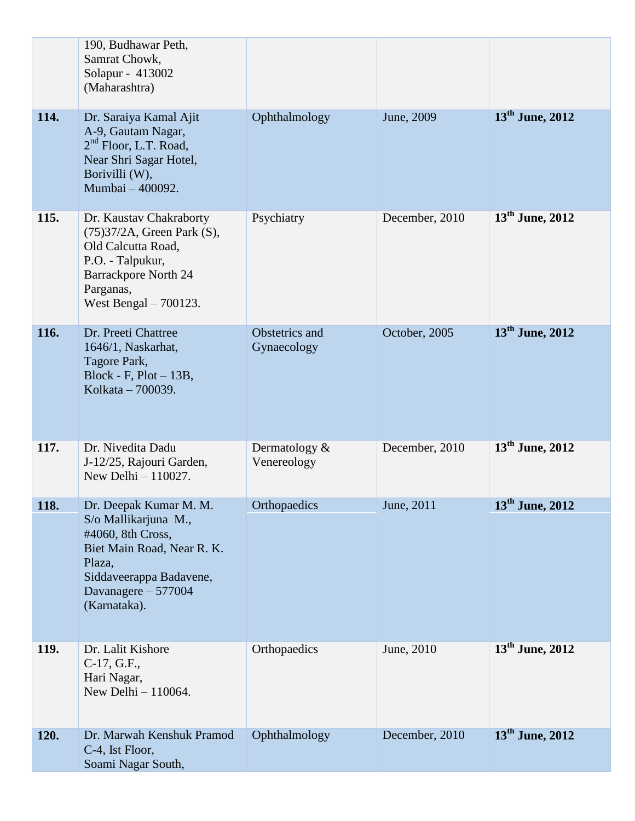|      | 190, Budhawar Peth,<br>Samrat Chowk,<br>Solapur - 413002<br>(Maharashtra)                                                                                                     |                               |                |                             |
|------|-------------------------------------------------------------------------------------------------------------------------------------------------------------------------------|-------------------------------|----------------|-----------------------------|
| 114. | Dr. Saraiya Kamal Ajit<br>A-9, Gautam Nagar,<br>2 <sup>nd</sup> Floor, L.T. Road,<br>Near Shri Sagar Hotel,<br>Borivilli (W),<br>Mumbai - 400092.                             | Ophthalmology                 | June, 2009     | $13th$ June, 2012           |
| 115. | Dr. Kaustav Chakraborty<br>$(75)37/2A$ , Green Park $(S)$ ,<br>Old Calcutta Road,<br>P.O. - Talpukur,<br><b>Barrackpore North 24</b><br>Parganas,<br>West Bengal $-700123$ .  | Psychiatry                    | December, 2010 | $13^{\text{th}}$ June, 2012 |
| 116. | Dr. Preeti Chattree<br>1646/1, Naskarhat,<br>Tagore Park,<br>Block - F, $Plot - 13B$ ,<br>Kolkata – 700039.                                                                   | Obstetrics and<br>Gynaecology | October, 2005  | $13th$ June, 2012           |
| 117. | Dr. Nivedita Dadu<br>J-12/25, Rajouri Garden,<br>New Delhi - 110027.                                                                                                          | Dermatology &<br>Venereology  | December, 2010 | $13^{\text{th}}$ June, 2012 |
| 118. | Dr. Deepak Kumar M. M.<br>S/o Mallikarjuna M.,<br>#4060, 8th Cross,<br>Biet Main Road, Near R. K.<br>Plaza,<br>Siddaveerappa Badavene,<br>Davanagere - 577004<br>(Karnataka). | Orthopaedics                  | June, 2011     | 13 <sup>th</sup> June, 2012 |
| 119. | Dr. Lalit Kishore<br>$C-17, G.F.,$<br>Hari Nagar,<br>New Delhi - 110064.                                                                                                      | Orthopaedics                  | June, 2010     | $13^{\text{th}}$ June, 2012 |
| 120. | Dr. Marwah Kenshuk Pramod<br>C-4, Ist Floor,<br>Soami Nagar South,                                                                                                            | Ophthalmology                 | December, 2010 | $13th$ June, 2012           |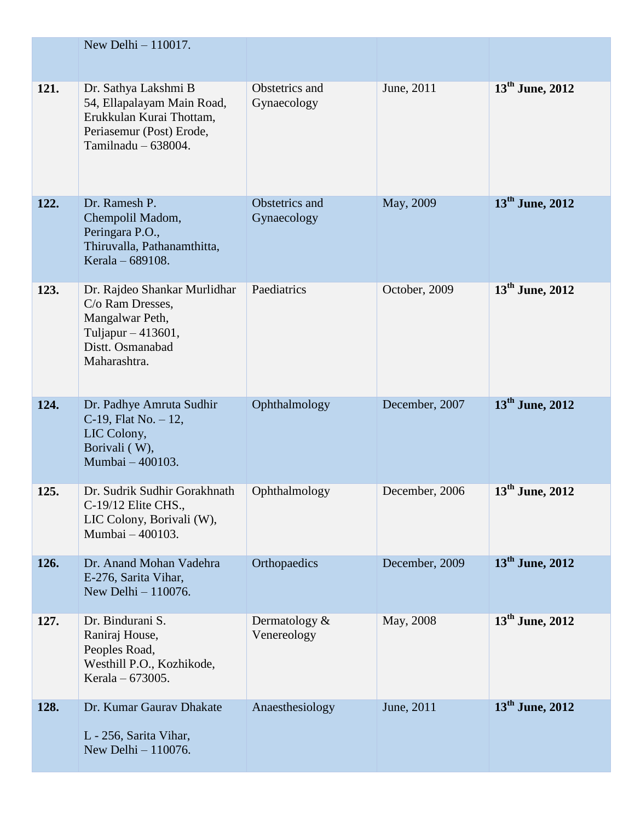|      | New Delhi - 110017.                                                                                                                 |                                 |                |                             |
|------|-------------------------------------------------------------------------------------------------------------------------------------|---------------------------------|----------------|-----------------------------|
|      |                                                                                                                                     |                                 |                |                             |
| 121. | Dr. Sathya Lakshmi B<br>54, Ellapalayam Main Road,<br>Erukkulan Kurai Thottam,<br>Periasemur (Post) Erode,<br>Tamilnadu $-638004$ . | Obstetrics and<br>Gynaecology   | June, 2011     | 13 <sup>th</sup> June, 2012 |
| 122. | Dr. Ramesh P.<br>Chempolil Madom,<br>Peringara P.O.,<br>Thiruvalla, Pathanamthitta,<br>Kerala - 689108.                             | Obstetrics and<br>Gynaecology   | May, 2009      | $13^{\text{th}}$ June, 2012 |
| 123. | Dr. Rajdeo Shankar Murlidhar<br>C/o Ram Dresses,<br>Mangalwar Peth,<br>Tuljapur - 413601,<br>Distt. Osmanabad<br>Maharashtra.       | Paediatrics                     | October, 2009  | $13th$ June, 2012           |
| 124. | Dr. Padhye Amruta Sudhir<br>C-19, Flat No. $-12$ ,<br>LIC Colony,<br>Borivali (W),<br>Mumbai - 400103.                              | Ophthalmology                   | December, 2007 | $13th$ June, 2012           |
| 125. | Dr. Sudrik Sudhir Gorakhnath<br>$C-19/12$ Elite CHS.,<br>LIC Colony, Borivali (W),<br>Mumbai - 400103.                              | Ophthalmology                   | December, 2006 | 13 <sup>th</sup> June, 2012 |
| 126. | Dr. Anand Mohan Vadehra<br>E-276, Sarita Vihar,<br>New Delhi - 110076.                                                              | Orthopaedics                    | December, 2009 | $13^{\text{th}}$ June, 2012 |
| 127. | Dr. Bindurani S.<br>Raniraj House,<br>Peoples Road,<br>Westhill P.O., Kozhikode,<br>Kerala – 673005.                                | Dermatology $\&$<br>Venereology | May, 2008      | $13^{th}$ June, 2012        |
| 128. | Dr. Kumar Gaurav Dhakate<br>L - 256, Sarita Vihar,<br>New Delhi - 110076.                                                           | Anaesthesiology                 | June, 2011     | $13th$ June, 2012           |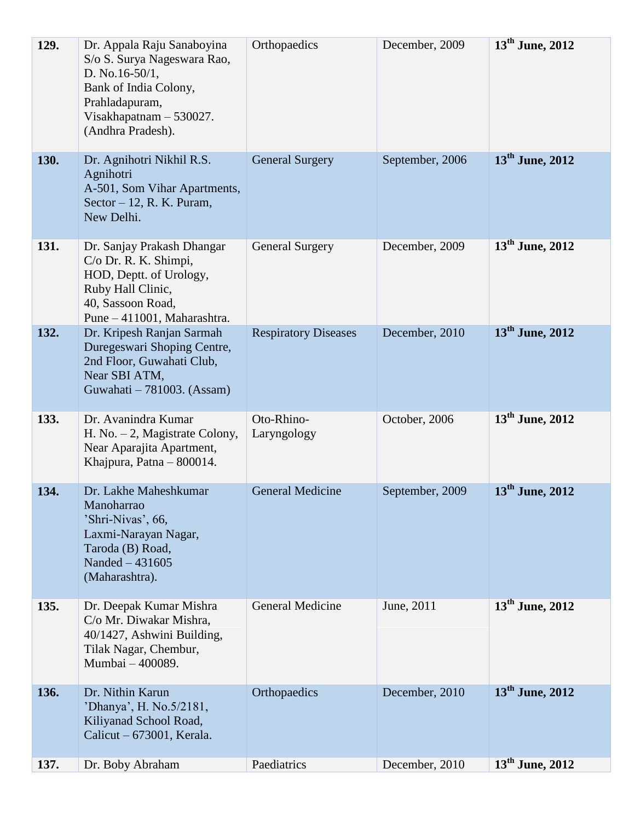| 129. | Dr. Appala Raju Sanaboyina<br>S/o S. Surya Nageswara Rao,<br>D. No.16-50/1,<br>Bank of India Colony,<br>Prahladapuram,<br>Visakhapatnam - 530027.<br>(Andhra Pradesh). | Orthopaedics                | December, 2009  | $13th$ June, 2012           |
|------|------------------------------------------------------------------------------------------------------------------------------------------------------------------------|-----------------------------|-----------------|-----------------------------|
| 130. | Dr. Agnihotri Nikhil R.S.<br>Agnihotri<br>A-501, Som Vihar Apartments,<br>Sector $-12$ , R. K. Puram,<br>New Delhi.                                                    | <b>General Surgery</b>      | September, 2006 | $13th$ June, 2012           |
| 131. | Dr. Sanjay Prakash Dhangar<br>C/o Dr. R. K. Shimpi,<br>HOD, Deptt. of Urology,<br>Ruby Hall Clinic,<br>40, Sassoon Road,<br>Pune - 411001, Maharashtra.                | <b>General Surgery</b>      | December, 2009  | $13th$ June, 2012           |
| 132. | Dr. Kripesh Ranjan Sarmah<br>Duregeswari Shoping Centre,<br>2nd Floor, Guwahati Club,<br>Near SBI ATM,<br>Guwahati - 781003. (Assam)                                   | <b>Respiratory Diseases</b> | December, 2010  | $13th$ June, 2012           |
| 133. | Dr. Avanindra Kumar<br>H. No. $-2$ , Magistrate Colony,<br>Near Aparajita Apartment,<br>Khajpura, Patna - 800014.                                                      | Oto-Rhino-<br>Laryngology   | October, 2006   | 13 <sup>th</sup> June, 2012 |
| 134. | Dr. Lakhe Maheshkumar<br>Manoharrao<br>'Shri-Nivas', 66,<br>Laxmi-Narayan Nagar,<br>Taroda (B) Road,<br>Nanded - 431605<br>(Maharashtra).                              | <b>General Medicine</b>     | September, 2009 | $13th$ June, 2012           |
| 135. | Dr. Deepak Kumar Mishra<br>C/o Mr. Diwakar Mishra,<br>40/1427, Ashwini Building,<br>Tilak Nagar, Chembur,<br>Mumbai - 400089.                                          | <b>General Medicine</b>     | June, 2011      | $13^{\text{th}}$ June, 2012 |
| 136. | Dr. Nithin Karun<br>'Dhanya', H. No.5/2181,<br>Kiliyanad School Road,<br>Calicut - 673001, Kerala.                                                                     | Orthopaedics                | December, 2010  | $13th$ June, 2012           |
| 137. | Dr. Boby Abraham                                                                                                                                                       | Paediatrics                 | December, 2010  | $13th$ June, 2012           |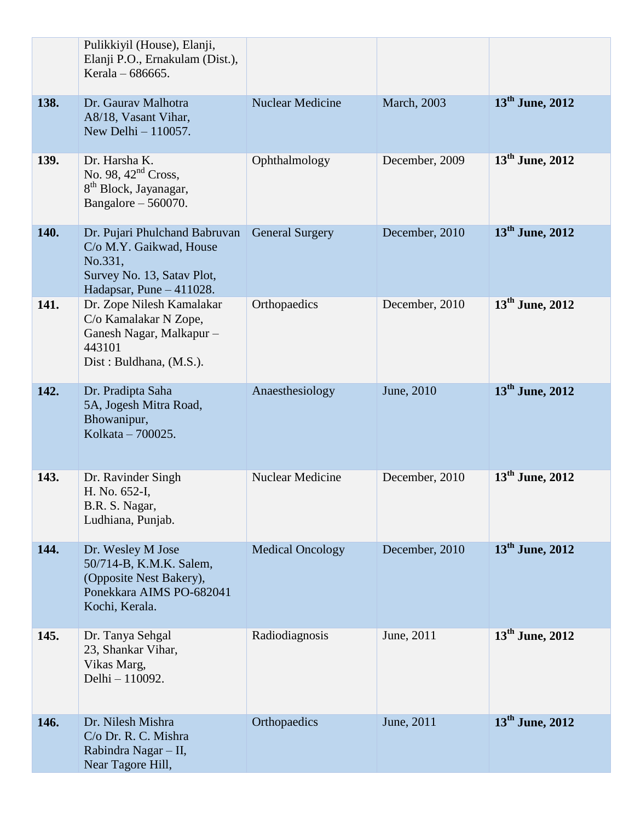|      | Pulikkiyil (House), Elanji,<br>Elanji P.O., Ernakulam (Dist.),<br>Kerala – 686665.                                              |                         |                |                             |
|------|---------------------------------------------------------------------------------------------------------------------------------|-------------------------|----------------|-----------------------------|
| 138. | Dr. Gauray Malhotra<br>A8/18, Vasant Vihar,<br>New Delhi - 110057.                                                              | <b>Nuclear Medicine</b> | March, 2003    | $13th$ June, 2012           |
| 139. | Dr. Harsha K.<br>No. 98, $42nd$ Cross,<br>8 <sup>th</sup> Block, Jayanagar,<br>Bangalore $-560070$ .                            | Ophthalmology           | December, 2009 | $13^{\text{th}}$ June, 2012 |
| 140. | Dr. Pujari Phulchand Babruvan<br>C/o M.Y. Gaikwad, House<br>No.331,<br>Survey No. 13, Satav Plot,<br>Hadapsar, Pune $-411028$ . | <b>General Surgery</b>  | December, 2010 | $13th$ June, 2012           |
| 141. | Dr. Zope Nilesh Kamalakar<br>C/o Kamalakar N Zope,<br>Ganesh Nagar, Malkapur -<br>443101<br>Dist: Buldhana, (M.S.).             | Orthopaedics            | December, 2010 | $13^{\text{th}}$ June, 2012 |
| 142. | Dr. Pradipta Saha<br>5A, Jogesh Mitra Road,<br>Bhowanipur,<br>Kolkata - 700025.                                                 | Anaesthesiology         | June, 2010     | $13^{\text{th}}$ June, 2012 |
| 143. | Dr. Ravinder Singh<br>H. No. 652-I,<br>B.R. S. Nagar,<br>Ludhiana, Punjab.                                                      | <b>Nuclear Medicine</b> | December, 2010 | $13^{\text{th}}$ June, 2012 |
| 144. | Dr. Wesley M Jose<br>50/714-B, K.M.K. Salem,<br>(Opposite Nest Bakery),<br>Ponekkara AIMS PO-682041<br>Kochi, Kerala.           | <b>Medical Oncology</b> | December, 2010 | $13^{\text{th}}$ June, 2012 |
| 145. | Dr. Tanya Sehgal<br>23, Shankar Vihar,<br>Vikas Marg,<br>Delhi - 110092.                                                        | Radiodiagnosis          | June, 2011     | $13^{\text{th}}$ June, 2012 |
| 146. | Dr. Nilesh Mishra<br>C/o Dr. R. C. Mishra<br>Rabindra Nagar - II,<br>Near Tagore Hill,                                          | Orthopaedics            | June, 2011     | $13th$ June, 2012           |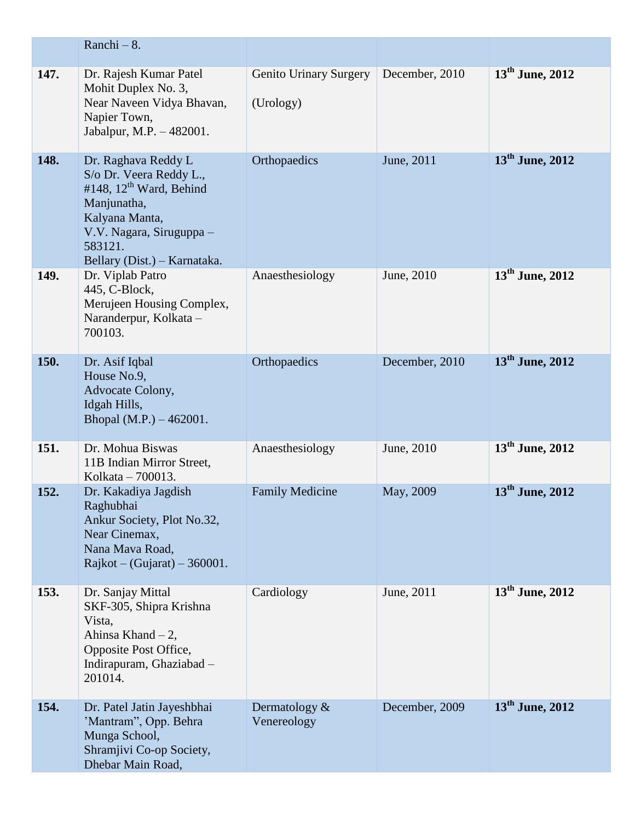|      | Ranchi $-8$ .                                                                                                                                                                                 |                                            |                |                             |
|------|-----------------------------------------------------------------------------------------------------------------------------------------------------------------------------------------------|--------------------------------------------|----------------|-----------------------------|
| 147. | Dr. Rajesh Kumar Patel<br>Mohit Duplex No. 3,<br>Near Naveen Vidya Bhavan,<br>Napier Town,<br>Jabalpur, M.P. - 482001.                                                                        | <b>Genito Urinary Surgery</b><br>(Urology) | December, 2010 | $13^{\text{th}}$ June, 2012 |
| 148. | Dr. Raghava Reddy L<br>S/o Dr. Veera Reddy L.,<br>#148, 12 <sup>th</sup> Ward, Behind<br>Manjunatha,<br>Kalyana Manta,<br>V.V. Nagara, Siruguppa -<br>583121.<br>Bellary (Dist.) – Karnataka. | Orthopaedics                               | June, 2011     | $13^{\text{th}}$ June, 2012 |
| 149. | Dr. Viplab Patro<br>445, C-Block,<br>Merujeen Housing Complex,<br>Naranderpur, Kolkata -<br>700103.                                                                                           | Anaesthesiology                            | June, 2010     | $13th$ June, 2012           |
| 150. | Dr. Asif Iqbal<br>House No.9,<br>Advocate Colony,<br>Idgah Hills,<br>Bhopal $(M.P.) - 462001$ .                                                                                               | Orthopaedics                               | December, 2010 | $13^{\text{th}}$ June, 2012 |
| 151. | Dr. Mohua Biswas<br>11B Indian Mirror Street,<br>Kolkata - 700013.                                                                                                                            | Anaesthesiology                            | June, 2010     | $13^{\text{th}}$ June, 2012 |
| 152. | Dr. Kakadiya Jagdish<br>Raghubhai<br>Ankur Society, Plot No.32,<br>Near Cinemax,<br>Nana Mava Road,<br>Rajkot – (Gujarat) – 360001.                                                           | <b>Family Medicine</b>                     | May, 2009      | $13th$ June, 2012           |
| 153. | Dr. Sanjay Mittal<br>SKF-305, Shipra Krishna<br>Vista,<br>Ahinsa Khand $-2$ ,<br>Opposite Post Office,<br>Indirapuram, Ghaziabad -<br>201014.                                                 | Cardiology                                 | June, 2011     | $13^{\text{th}}$ June, 2012 |
| 154. | Dr. Patel Jatin Jayeshbhai<br>'Mantram'', Opp. Behra<br>Munga School,<br>Shramjivi Co-op Society,<br>Dhebar Main Road,                                                                        | Dermatology $\&$<br>Venereology            | December, 2009 | $13th$ June, 2012           |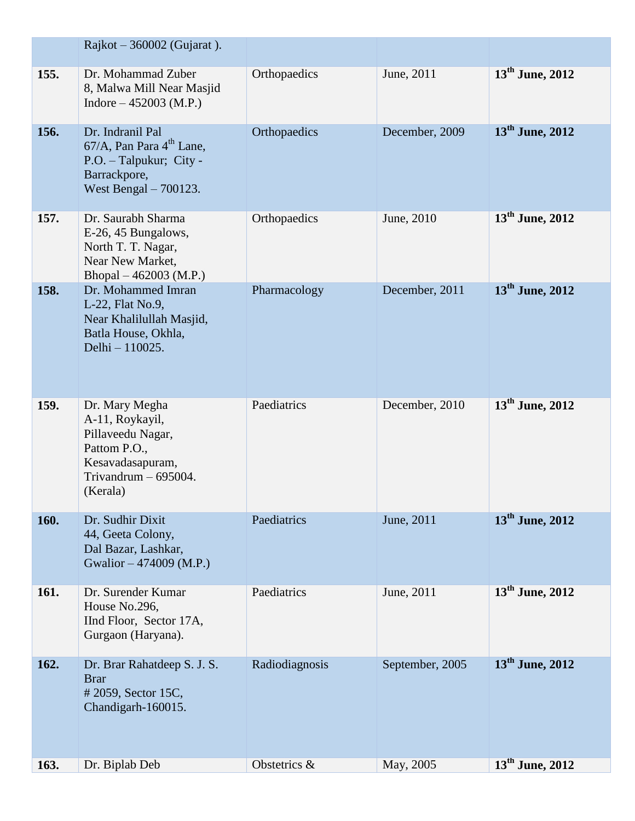|      | Rajkot $-360002$ (Gujarat).                                                                                                      |                |                 |                             |
|------|----------------------------------------------------------------------------------------------------------------------------------|----------------|-----------------|-----------------------------|
| 155. | Dr. Mohammad Zuber<br>8, Malwa Mill Near Masjid<br>Indore $-452003$ (M.P.)                                                       | Orthopaedics   | June, 2011      | $13^{\text{th}}$ June, 2012 |
| 156. | Dr. Indranil Pal<br>67/A, Pan Para 4 <sup>th</sup> Lane,<br>P.O. - Talpukur; City -<br>Barrackpore,<br>West Bengal $-700123$ .   | Orthopaedics   | December, 2009  | $13th$ June, 2012           |
| 157. | Dr. Saurabh Sharma<br>E-26, 45 Bungalows,<br>North T. T. Nagar,<br>Near New Market,<br>Bhopal $-462003$ (M.P.)                   | Orthopaedics   | June, 2010      | $13^{\text{th}}$ June, 2012 |
| 158. | Dr. Mohammed Imran<br>L-22, Flat No.9,<br>Near Khalilullah Masjid,<br>Batla House, Okhla,<br>Delhi - 110025.                     | Pharmacology   | December, 2011  | $13th$ June, 2012           |
| 159. | Dr. Mary Megha<br>A-11, Roykayil,<br>Pillaveedu Nagar,<br>Pattom P.O.,<br>Kesavadasapuram,<br>Trivandrum $-695004$ .<br>(Kerala) | Paediatrics    | December, 2010  | $13th$ June, 2012           |
| 160. | Dr. Sudhir Dixit<br>44, Geeta Colony,<br>Dal Bazar, Lashkar,<br>Gwalior – 474009 (M.P.)                                          | Paediatrics    | June, 2011      | 13 <sup>th</sup> June, 2012 |
| 161. | Dr. Surender Kumar<br>House No.296,<br>IInd Floor, Sector 17A,<br>Gurgaon (Haryana).                                             | Paediatrics    | June, 2011      | $13^{\text{th}}$ June, 2012 |
| 162. | Dr. Brar Rahatdeep S. J. S.<br><b>Brar</b><br>#2059, Sector 15C,<br>Chandigarh-160015.                                           | Radiodiagnosis | September, 2005 | $13th$ June, 2012           |
| 163. | Dr. Biplab Deb                                                                                                                   | Obstetrics &   | May, 2005       | $13^{\text{th}}$ June, 2012 |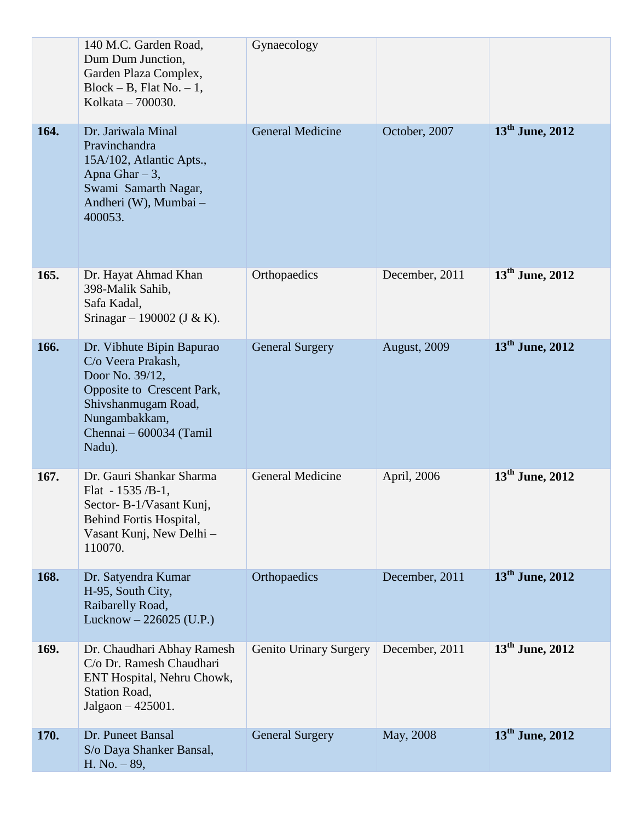|      | 140 M.C. Garden Road,<br>Dum Dum Junction,<br>Garden Plaza Complex,<br>Block – B, Flat No. – 1,<br>Kolkata – 700030.                                                          | Gynaecology                   |                |                             |
|------|-------------------------------------------------------------------------------------------------------------------------------------------------------------------------------|-------------------------------|----------------|-----------------------------|
| 164. | Dr. Jariwala Minal<br>Pravinchandra<br>15A/102, Atlantic Apts.,<br>Apna Ghar $-3$ ,<br>Swami Samarth Nagar,<br>Andheri (W), Mumbai -<br>400053.                               | <b>General Medicine</b>       | October, 2007  | $13^{\text{th}}$ June, 2012 |
| 165. | Dr. Hayat Ahmad Khan<br>398-Malik Sahib,<br>Safa Kadal,<br>Srinagar – 190002 (J & K).                                                                                         | Orthopaedics                  | December, 2011 | $13th$ June, 2012           |
| 166. | Dr. Vibhute Bipin Bapurao<br>C/o Veera Prakash,<br>Door No. 39/12,<br>Opposite to Crescent Park,<br>Shivshanmugam Road,<br>Nungambakkam,<br>Chennai - 600034 (Tamil<br>Nadu). | <b>General Surgery</b>        | August, 2009   | $13th$ June, 2012           |
| 167. | Dr. Gauri Shankar Sharma<br>Flat - $1535$ /B-1,<br>Sector-B-1/Vasant Kunj,<br>Behind Fortis Hospital,<br>Vasant Kunj, New Delhi -<br>110070.                                  | <b>General Medicine</b>       | April, 2006    | $13th$ June, 2012           |
| 168. | Dr. Satyendra Kumar<br>H-95, South City,<br>Raibarelly Road,<br>Lucknow $-226025$ (U.P.)                                                                                      | Orthopaedics                  | December, 2011 | 13 <sup>th</sup> June, 2012 |
| 169. | Dr. Chaudhari Abhay Ramesh<br>C/o Dr. Ramesh Chaudhari<br>ENT Hospital, Nehru Chowk,<br>Station Road,<br>$Jalgaon - 425001.$                                                  | <b>Genito Urinary Surgery</b> | December, 2011 | $13^{\text{th}}$ June, 2012 |
| 170. | Dr. Puneet Bansal<br>S/o Daya Shanker Bansal,<br>H. No. $-89$ ,                                                                                                               | <b>General Surgery</b>        | May, 2008      | $13th$ June, 2012           |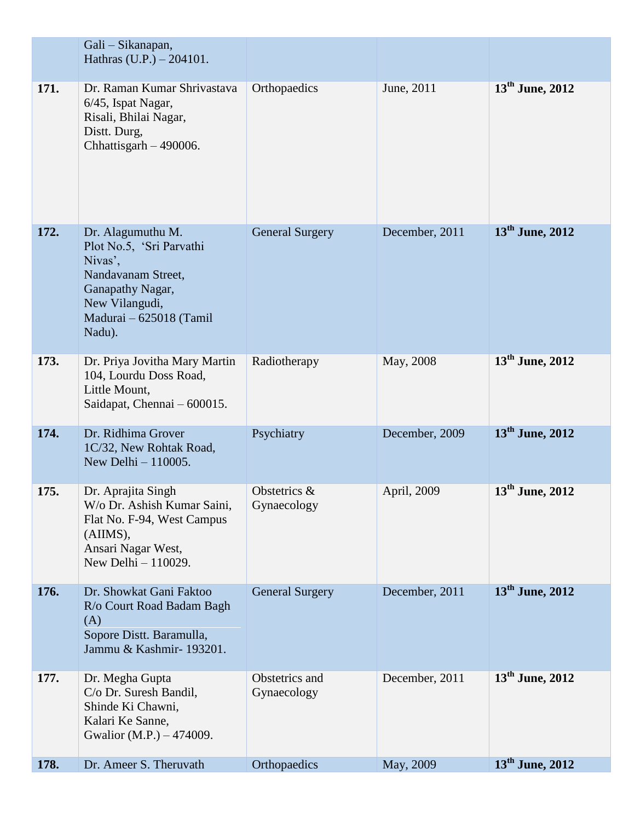|      | Gali - Sikanapan,<br>Hathras $(U.P.) - 204101$ .                                                                                                          |                               |                |                             |
|------|-----------------------------------------------------------------------------------------------------------------------------------------------------------|-------------------------------|----------------|-----------------------------|
| 171. | Dr. Raman Kumar Shrivastava<br>6/45, Ispat Nagar,<br>Risali, Bhilai Nagar,<br>Distt. Durg,<br>Chhattisgarh $-490006$ .                                    | Orthopaedics                  | June, 2011     | $13th$ June, 2012           |
| 172. | Dr. Alagumuthu M.<br>Plot No.5, 'Sri Parvathi<br>Nivas',<br>Nandavanam Street,<br>Ganapathy Nagar,<br>New Vilangudi,<br>Madurai - 625018 (Tamil<br>Nadu). | <b>General Surgery</b>        | December, 2011 | $13th$ June, 2012           |
| 173. | Dr. Priya Jovitha Mary Martin<br>104, Lourdu Doss Road,<br>Little Mount,<br>Saidapat, Chennai – 600015.                                                   | Radiotherapy                  | May, 2008      | $13th$ June, 2012           |
| 174. | Dr. Ridhima Grover<br>1C/32, New Rohtak Road,<br>New Delhi $-110005$ .                                                                                    | Psychiatry                    | December, 2009 | $13th$ June, 2012           |
| 175. | Dr. Aprajita Singh<br>W/o Dr. Ashish Kumar Saini,<br>Flat No. F-94, West Campus<br>(AIIMS),<br>Ansari Nagar West,<br>New Delhi - 110029.                  | Obstetrics &<br>Gynaecology   | April, 2009    | $13th$ June, 2012           |
| 176. | Dr. Showkat Gani Faktoo<br>R/o Court Road Badam Bagh<br>(A)<br>Sopore Distt. Baramulla,<br>Jammu & Kashmir- 193201.                                       | <b>General Surgery</b>        | December, 2011 | $13th$ June, 2012           |
| 177. | Dr. Megha Gupta<br>C/o Dr. Suresh Bandil,<br>Shinde Ki Chawni,<br>Kalari Ke Sanne,<br>Gwalior (M.P.) – 474009.                                            | Obstetrics and<br>Gynaecology | December, 2011 | $13th$ June, 2012           |
| 178. | Dr. Ameer S. Theruvath                                                                                                                                    | Orthopaedics                  | May, 2009      | 13 <sup>th</sup> June, 2012 |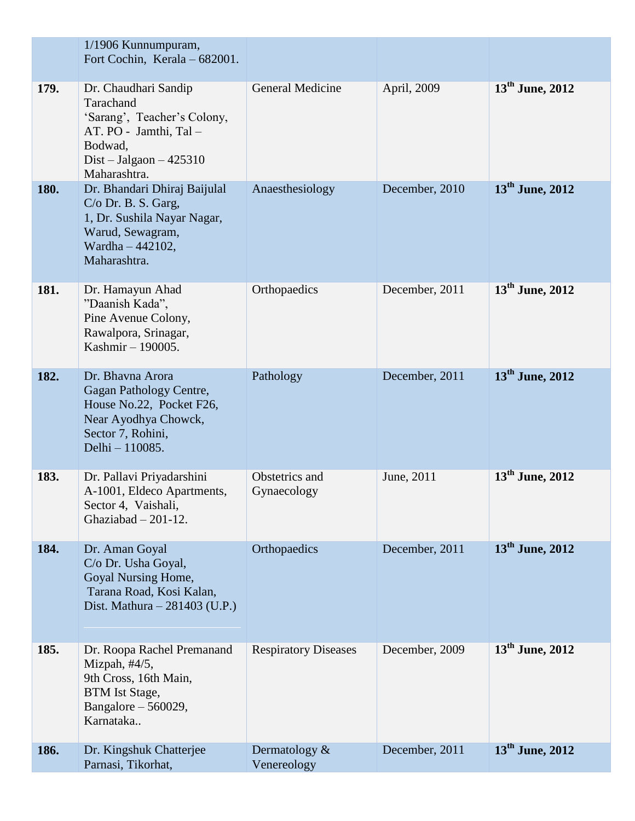|      | 1/1906 Kunnumpuram,<br>Fort Cochin, Kerala - 682001.                                                                                               |                                |                |                             |
|------|----------------------------------------------------------------------------------------------------------------------------------------------------|--------------------------------|----------------|-----------------------------|
| 179. | Dr. Chaudhari Sandip<br>Tarachand<br>'Sarang', Teacher's Colony,<br>AT. PO - Jamthi, Tal -<br>Bodwad,<br>Dist – Jalgaon – $425310$<br>Maharashtra. | <b>General Medicine</b>        | April, 2009    | $13^{\text{th}}$ June, 2012 |
| 180. | Dr. Bhandari Dhiraj Baijulal<br>C/o Dr. B. S. Garg,<br>1, Dr. Sushila Nayar Nagar,<br>Warud, Sewagram,<br>Wardha - 442102,<br>Maharashtra.         | Anaesthesiology                | December, 2010 | $13th$ June, 2012           |
| 181. | Dr. Hamayun Ahad<br>"Daanish Kada",<br>Pine Avenue Colony,<br>Rawalpora, Srinagar,<br>Kashmir - 190005.                                            | Orthopaedics                   | December, 2011 | $13th$ June, 2012           |
| 182. | Dr. Bhavna Arora<br>Gagan Pathology Centre,<br>House No.22, Pocket F26,<br>Near Ayodhya Chowck,<br>Sector 7, Rohini,<br>Delhi - 110085.            | Pathology                      | December, 2011 | $13th$ June, 2012           |
| 183. | Dr. Pallavi Priyadarshini<br>A-1001, Eldeco Apartments,<br>Sector 4, Vaishali,<br>Ghaziabad $-201-12$ .                                            | Obstetrics and<br>Gynaecology  | June, 2011     | 13 <sup>th</sup> June, 2012 |
| 184. | Dr. Aman Goyal<br>C/o Dr. Usha Goyal,<br>Goyal Nursing Home,<br>Tarana Road, Kosi Kalan,<br>Dist. Mathura $- 281403$ (U.P.)                        | Orthopaedics                   | December, 2011 | $13^{\text{th}}$ June, 2012 |
| 185. | Dr. Roopa Rachel Premanand<br>Mizpah, $\#4/5$ ,<br>9th Cross, 16th Main,<br><b>BTM</b> Ist Stage,<br>Bangalore $-560029$ ,<br>Karnataka            | <b>Respiratory Diseases</b>    | December, 2009 | $13^{\text{th}}$ June, 2012 |
| 186. | Dr. Kingshuk Chatterjee<br>Parnasi, Tikorhat,                                                                                                      | Dermatology $&$<br>Venereology | December, 2011 | $13th$ June, 2012           |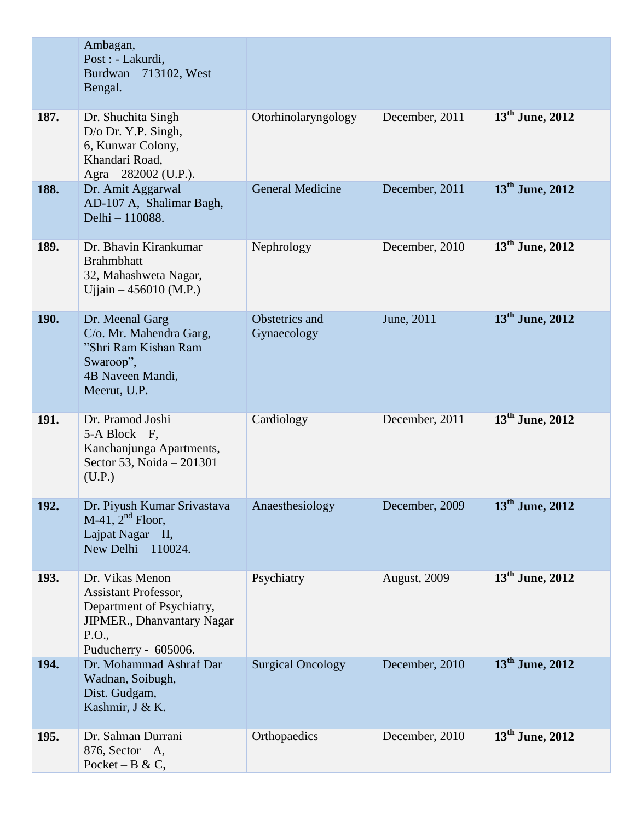|             | Ambagan,<br>Post : - Lakurdi,<br>Burdwan - 713102, West<br>Bengal.                                                                         |                               |                |                             |
|-------------|--------------------------------------------------------------------------------------------------------------------------------------------|-------------------------------|----------------|-----------------------------|
| 187.        | Dr. Shuchita Singh<br>D/o Dr. Y.P. Singh,<br>6, Kunwar Colony,<br>Khandari Road,<br>Agra - 282002 (U.P.).                                  | Otorhinolaryngology           | December, 2011 | $13^{\text{th}}$ June, 2012 |
| 188.        | Dr. Amit Aggarwal<br>AD-107 A, Shalimar Bagh,<br>Delhi - 110088.                                                                           | <b>General Medicine</b>       | December, 2011 | $13th$ June, 2012           |
| 189.        | Dr. Bhavin Kirankumar<br><b>Brahmbhatt</b><br>32, Mahashweta Nagar,<br>Ujjain $-456010$ (M.P.)                                             | Nephrology                    | December, 2010 | 13 <sup>th</sup> June, 2012 |
| <b>190.</b> | Dr. Meenal Garg<br>C/o. Mr. Mahendra Garg,<br>"Shri Ram Kishan Ram<br>Swaroop",<br>4B Naveen Mandi,<br>Meerut, U.P.                        | Obstetrics and<br>Gynaecology | June, 2011     | $13th$ June, 2012           |
| 191.        | Dr. Pramod Joshi<br>5-A Block $-F$ ,<br>Kanchanjunga Apartments,<br>Sector 53, Noida - 201301<br>(U.P.)                                    | Cardiology                    | December, 2011 | $13th$ June, 2012           |
| 192.        | Dr. Piyush Kumar Srivastava<br>$M-41$ , $2nd$ Floor,<br>Lajpat Nagar $-$ II,<br>New Delhi - 110024.                                        | Anaesthesiology               | December, 2009 | 13 <sup>th</sup> June, 2012 |
| 193.        | Dr. Vikas Menon<br><b>Assistant Professor,</b><br>Department of Psychiatry,<br>JIPMER., Dhanvantary Nagar<br>P.O.,<br>Puducherry - 605006. | Psychiatry                    | August, 2009   | $13^{\text{th}}$ June, 2012 |
| 194.        | Dr. Mohammad Ashraf Dar<br>Wadnan, Soibugh,<br>Dist. Gudgam,<br>Kashmir, J & K.                                                            | <b>Surgical Oncology</b>      | December, 2010 | $13th$ June, 2012           |
| 195.        | Dr. Salman Durrani<br>$876$ , Sector – A,<br>Pocket – B & C,                                                                               | Orthopaedics                  | December, 2010 | $13th$ June, 2012           |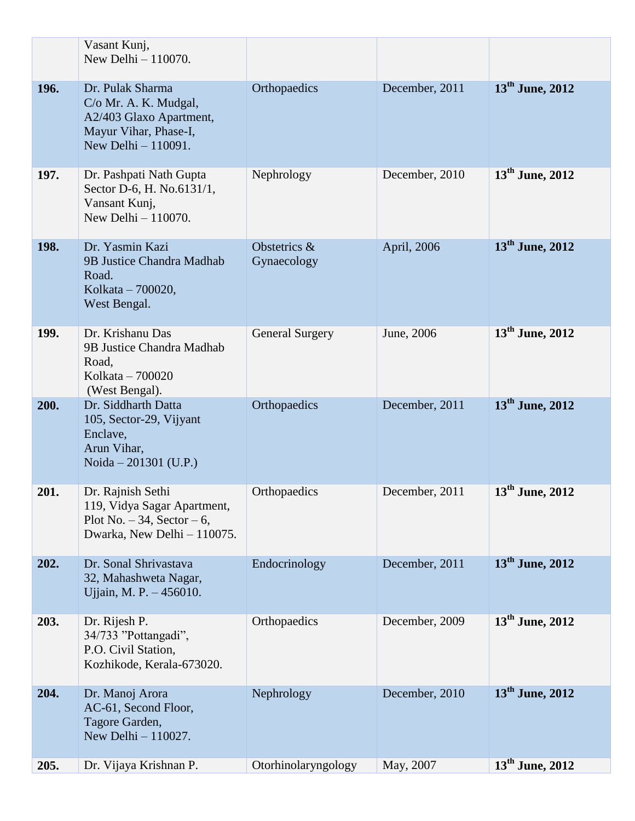|      | Vasant Kunj,<br>New Delhi - 110070.                                                                                  |                             |                |                             |
|------|----------------------------------------------------------------------------------------------------------------------|-----------------------------|----------------|-----------------------------|
| 196. | Dr. Pulak Sharma<br>C/o Mr. A. K. Mudgal,<br>A2/403 Glaxo Apartment,<br>Mayur Vihar, Phase-I,<br>New Delhi - 110091. | Orthopaedics                | December, 2011 | 13 <sup>th</sup> June, 2012 |
| 197. | Dr. Pashpati Nath Gupta<br>Sector D-6, H. No.6131/1,<br>Vansant Kunj,<br>New Delhi $-110070$ .                       | Nephrology                  | December, 2010 | $13^{\text{th}}$ June, 2012 |
| 198. | Dr. Yasmin Kazi<br>9B Justice Chandra Madhab<br>Road.<br>Kolkata - 700020,<br>West Bengal.                           | Obstetrics &<br>Gynaecology | April, 2006    | $13^{\text{th}}$ June, 2012 |
| 199. | Dr. Krishanu Das<br>9B Justice Chandra Madhab<br>Road,<br>Kolkata - 700020<br>(West Bengal).                         | <b>General Surgery</b>      | June, 2006     | $13^{\text{th}}$ June, 2012 |
| 200. | Dr. Siddharth Datta<br>105, Sector-29, Vijyant<br>Enclave,<br>Arun Vihar,<br>Noida – 201301 (U.P.)                   | Orthopaedics                | December, 2011 | $13th$ June, 2012           |
| 201. | Dr. Rajnish Sethi<br>119, Vidya Sagar Apartment,<br>Plot No. $-34$ , Sector $-6$ ,<br>Dwarka, New Delhi - 110075.    | Orthopaedics                | December, 2011 | $13^{\text{th}}$ June, 2012 |
| 202. | Dr. Sonal Shrivastava<br>32, Mahashweta Nagar,<br>Ujjain, M. P. - 456010.                                            | Endocrinology               | December, 2011 | $13th$ June, 2012           |
| 203. | Dr. Rijesh P.<br>34/733 "Pottangadi",<br>P.O. Civil Station,<br>Kozhikode, Kerala-673020.                            | Orthopaedics                | December, 2009 | $13^{\text{th}}$ June, 2012 |
| 204. | Dr. Manoj Arora<br>AC-61, Second Floor,<br>Tagore Garden,<br>New Delhi - 110027.                                     | Nephrology                  | December, 2010 | $13th$ June, 2012           |
| 205. | Dr. Vijaya Krishnan P.                                                                                               | Otorhinolaryngology         | May, 2007      | $13^{\text{th}}$ June, 2012 |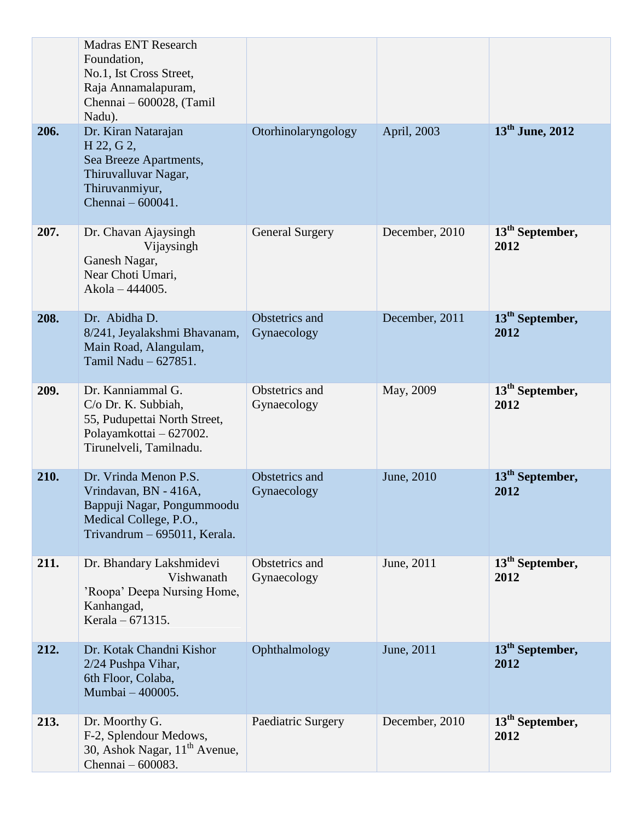|      | <b>Madras ENT Research</b><br>Foundation,<br>No.1, Ist Cross Street,<br>Raja Annamalapuram,                                            |                               |                |                                     |
|------|----------------------------------------------------------------------------------------------------------------------------------------|-------------------------------|----------------|-------------------------------------|
|      | Chennai - 600028, (Tamil<br>Nadu).                                                                                                     |                               |                |                                     |
| 206. | Dr. Kiran Natarajan<br>H 22, G 2,<br>Sea Breeze Apartments,<br>Thiruvalluvar Nagar,<br>Thiruvanmiyur,<br>Chennai - 600041.             | Otorhinolaryngology           | April, 2003    | $13th$ June, 2012                   |
| 207. | Dr. Chavan Ajaysingh<br>Vijaysingh<br>Ganesh Nagar,<br>Near Choti Umari,<br>Akola - 444005.                                            | <b>General Surgery</b>        | December, 2010 | 13 <sup>th</sup> September,<br>2012 |
| 208. | Dr. Abidha D.<br>8/241, Jeyalakshmi Bhavanam,<br>Main Road, Alangulam,<br>Tamil Nadu - 627851.                                         | Obstetrics and<br>Gynaecology | December, 2011 | 13 <sup>th</sup> September,<br>2012 |
| 209. | Dr. Kanniammal G.<br>C/o Dr. K. Subbiah,<br>55, Pudupettai North Street,<br>Polayamkottai - 627002.<br>Tirunelveli, Tamilnadu.         | Obstetrics and<br>Gynaecology | May, 2009      | $13th$ September,<br>2012           |
| 210. | Dr. Vrinda Menon P.S.<br>Vrindavan, BN - 416A,<br>Bappuji Nagar, Pongummoodu<br>Medical College, P.O.,<br>Trivandrum - 695011, Kerala. | Obstetrics and<br>Gynaecology | June, 2010     | 13 <sup>th</sup> September,<br>2012 |
| 211. | Dr. Bhandary Lakshmidevi<br>Vishwanath<br>'Roopa' Deepa Nursing Home,<br>Kanhangad,<br>Kerala – 671315.                                | Obstetrics and<br>Gynaecology | June, 2011     | 13 <sup>th</sup> September,<br>2012 |
| 212. | Dr. Kotak Chandni Kishor<br>2/24 Pushpa Vihar,<br>6th Floor, Colaba,<br>Mumbai - 400005.                                               | Ophthalmology                 | June, 2011     | 13 <sup>th</sup> September,<br>2012 |
| 213. | Dr. Moorthy G.<br>F-2, Splendour Medows,<br>30, Ashok Nagar, 11 <sup>th</sup> Avenue,<br>Chennai - 600083.                             | Paediatric Surgery            | December, 2010 | $13th$ September,<br>2012           |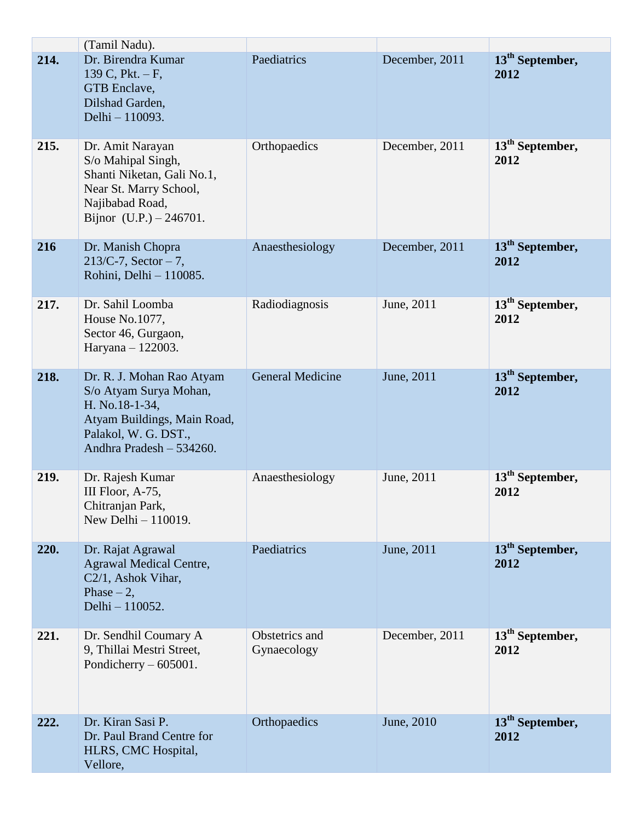|      | (Tamil Nadu).                                                                                                                                            |                               |                |                                     |
|------|----------------------------------------------------------------------------------------------------------------------------------------------------------|-------------------------------|----------------|-------------------------------------|
| 214. | Dr. Birendra Kumar<br>139 C, Pkt. $-F$ ,<br>GTB Enclave,<br>Dilshad Garden,<br>Delhi - 110093.                                                           | Paediatrics                   | December, 2011 | 13 <sup>th</sup> September,<br>2012 |
| 215. | Dr. Amit Narayan<br>S/o Mahipal Singh,<br>Shanti Niketan, Gali No.1,<br>Near St. Marry School,<br>Najibabad Road,<br>Bijnor $(U.P.) - 246701$ .          | Orthopaedics                  | December, 2011 | 13 <sup>th</sup> September,<br>2012 |
| 216  | Dr. Manish Chopra<br>$213/C-7$ , Sector - 7,<br>Rohini, Delhi - 110085.                                                                                  | Anaesthesiology               | December, 2011 | 13 <sup>th</sup> September,<br>2012 |
| 217. | Dr. Sahil Loomba<br>House No.1077,<br>Sector 46, Gurgaon,<br>Haryana - 122003.                                                                           | Radiodiagnosis                | June, 2011     | $13th$ September,<br>2012           |
| 218. | Dr. R. J. Mohan Rao Atyam<br>S/o Atyam Surya Mohan,<br>H. No.18-1-34,<br>Atyam Buildings, Main Road,<br>Palakol, W. G. DST.,<br>Andhra Pradesh - 534260. | <b>General Medicine</b>       | June, 2011     | 13 <sup>th</sup> September,<br>2012 |
| 219. | Dr. Rajesh Kumar<br>III Floor, A-75,<br>Chitranjan Park,<br>New Delhi $-110019$ .                                                                        | Anaesthesiology               | June, 2011     | 13 <sup>th</sup> September,<br>2012 |
| 220. | Dr. Rajat Agrawal<br><b>Agrawal Medical Centre,</b><br>C2/1, Ashok Vihar,<br>Phase $-2$ ,<br>Delhi - 110052.                                             | Paediatrics                   | June, 2011     | 13 <sup>th</sup> September,<br>2012 |
| 221. | Dr. Sendhil Coumary A<br>9, Thillai Mestri Street,<br>Pondicherry $-605001$ .                                                                            | Obstetrics and<br>Gynaecology | December, 2011 | $13th$ September,<br>2012           |
| 222. | Dr. Kiran Sasi P.<br>Dr. Paul Brand Centre for<br>HLRS, CMC Hospital,<br>Vellore,                                                                        | Orthopaedics                  | June, 2010     | $13th$ September,<br>2012           |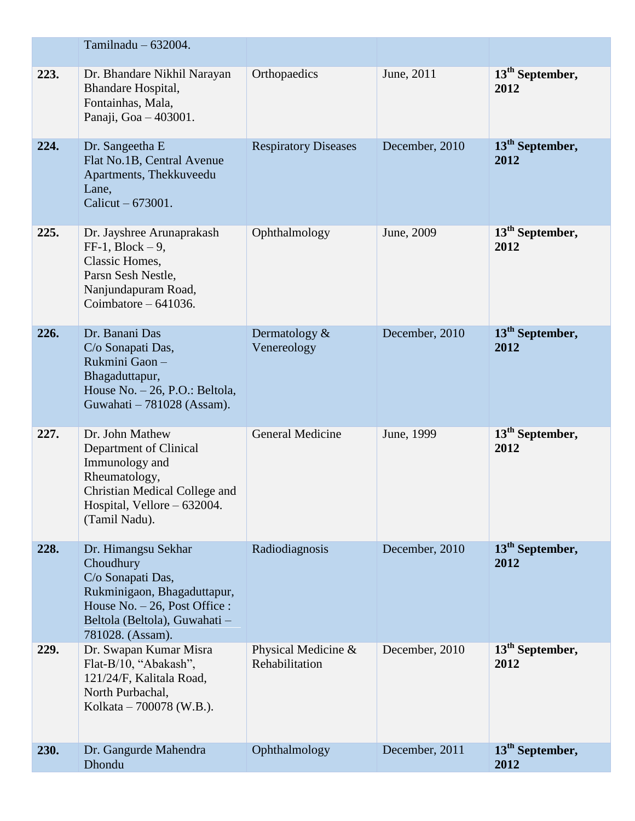|      | Tamilnadu $-632004$ .                                                                                                                                                        |                                          |                |                                     |
|------|------------------------------------------------------------------------------------------------------------------------------------------------------------------------------|------------------------------------------|----------------|-------------------------------------|
| 223. | Dr. Bhandare Nikhil Narayan<br>Bhandare Hospital,<br>Fontainhas, Mala,<br>Panaji, Goa - 403001.                                                                              | Orthopaedics                             | June, 2011     | $13th$ September,<br>2012           |
| 224. | Dr. Sangeetha E<br>Flat No.1B, Central Avenue<br>Apartments, Thekkuveedu<br>Lane,<br>Calicut $-673001$ .                                                                     | <b>Respiratory Diseases</b>              | December, 2010 | 13 <sup>th</sup> September,<br>2012 |
| 225. | Dr. Jayshree Arunaprakash<br>$FF-1$ , Block $-9$ ,<br>Classic Homes,<br>Parsn Sesh Nestle,<br>Nanjundapuram Road,<br>Coimbatore $-641036$ .                                  | Ophthalmology                            | June, 2009     | 13 <sup>th</sup> September,<br>2012 |
| 226. | Dr. Banani Das<br>C/o Sonapati Das,<br>Rukmini Gaon-<br>Bhagaduttapur,<br>House No. - 26, P.O.: Beltola,<br>Guwahati – 781028 (Assam).                                       | Dermatology $&$<br>Venereology           | December, 2010 | 13 <sup>th</sup> September,<br>2012 |
| 227. | Dr. John Mathew<br>Department of Clinical<br>Immunology and<br>Rheumatology,<br>Christian Medical College and<br>Hospital, Vellore - 632004.<br>(Tamil Nadu).                | <b>General Medicine</b>                  | June, 1999     | $13th$ September,<br>2012           |
| 228. | Dr. Himangsu Sekhar<br>Choudhury<br>C/o Sonapati Das,<br>Rukminigaon, Bhagaduttapur,<br>House No. $-26$ , Post Office :<br>Beltola (Beltola), Guwahati -<br>781028. (Assam). | Radiodiagnosis                           | December, 2010 | 13 <sup>th</sup> September,<br>2012 |
| 229. | Dr. Swapan Kumar Misra<br>Flat-B/10, "Abakash",<br>121/24/F, Kalitala Road,<br>North Purbachal,<br>Kolkata – 700078 (W.B.).                                                  | Physical Medicine $\&$<br>Rehabilitation | December, 2010 | 13 <sup>th</sup> September,<br>2012 |
| 230. | Dr. Gangurde Mahendra<br>Dhondu                                                                                                                                              | Ophthalmology                            | December, 2011 | 13 <sup>th</sup> September,<br>2012 |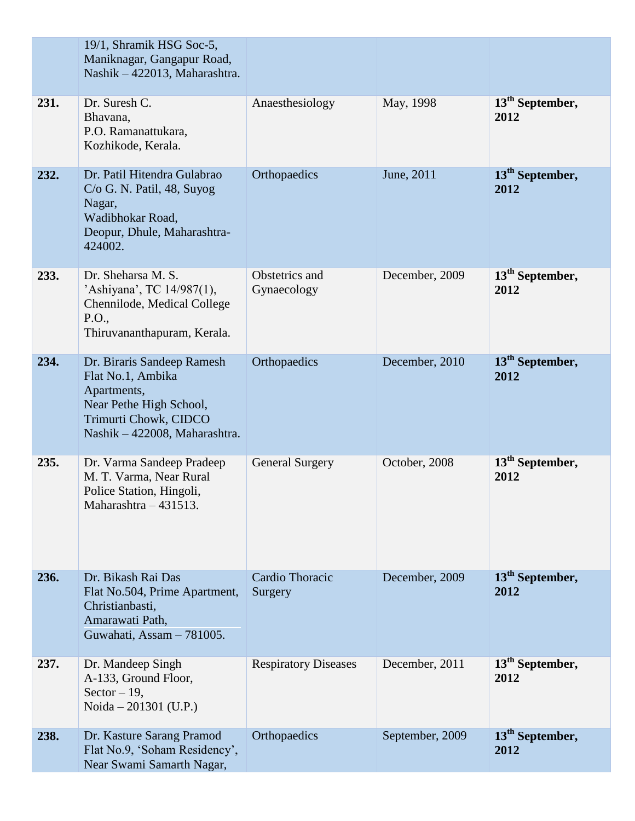|      | 19/1, Shramik HSG Soc-5,<br>Maniknagar, Gangapur Road,<br>Nashik - 422013, Maharashtra.                                                             |                               |                 |                                     |
|------|-----------------------------------------------------------------------------------------------------------------------------------------------------|-------------------------------|-----------------|-------------------------------------|
| 231. | Dr. Suresh C.<br>Bhavana,<br>P.O. Ramanattukara,<br>Kozhikode, Kerala.                                                                              | Anaesthesiology               | May, 1998       | $13th$ September,<br>2012           |
| 232. | Dr. Patil Hitendra Gulabrao<br>C/o G. N. Patil, 48, Suyog<br>Nagar,<br>Wadibhokar Road,<br>Deopur, Dhule, Maharashtra-<br>424002.                   | Orthopaedics                  | June, 2011      | 13 <sup>th</sup> September,<br>2012 |
| 233. | Dr. Sheharsa M. S.<br>'Ashiyana', TC 14/987(1),<br>Chennilode, Medical College<br>P.O.,<br>Thiruvananthapuram, Kerala.                              | Obstetrics and<br>Gynaecology | December, 2009  | 13 <sup>th</sup> September,<br>2012 |
| 234. | Dr. Biraris Sandeep Ramesh<br>Flat No.1, Ambika<br>Apartments,<br>Near Pethe High School,<br>Trimurti Chowk, CIDCO<br>Nashik - 422008, Maharashtra. | Orthopaedics                  | December, 2010  | 13 <sup>th</sup> September,<br>2012 |
| 235. | Dr. Varma Sandeep Pradeep<br>M. T. Varma, Near Rural<br>Police Station, Hingoli,<br>Maharashtra $-431513$ .                                         | <b>General Surgery</b>        | October, 2008   | 13 <sup>th</sup> September,<br>2012 |
| 236. | Dr. Bikash Rai Das<br>Flat No.504, Prime Apartment,<br>Christianbasti,<br>Amarawati Path,<br>Guwahati, Assam - 781005.                              | Cardio Thoracic<br>Surgery    | December, 2009  | 13 <sup>th</sup> September,<br>2012 |
| 237. | Dr. Mandeep Singh<br>A-133, Ground Floor,<br>Sector $-19$ ,<br>Noida – 201301 (U.P.)                                                                | <b>Respiratory Diseases</b>   | December, 2011  | 13 <sup>th</sup> September,<br>2012 |
| 238. | Dr. Kasture Sarang Pramod<br>Flat No.9, 'Soham Residency',<br>Near Swami Samarth Nagar,                                                             | Orthopaedics                  | September, 2009 | 13 <sup>th</sup> September,<br>2012 |